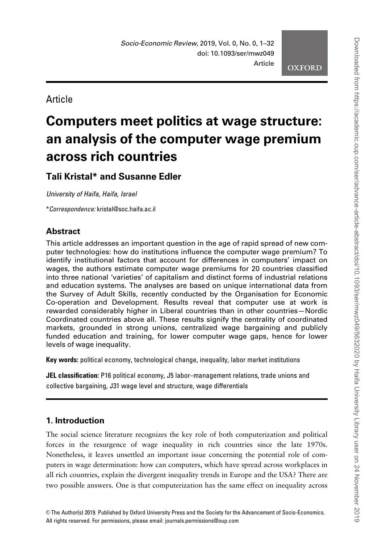**OXFORD** 

Article

# Computers meet politics at wage structure: an analysis of the computer wage premium across rich countries

# Tali Kristal\* and Susanne Edler

University of Haifa, Haifa, Israel

\*Correspondence: kristal@soc.haifa.ac.il

# **Abstract**

This article addresses an important question in the age of rapid spread of new computer technologies: how do institutions influence the computer wage premium? To identify institutional factors that account for differences in computers' impact on wages, the authors estimate computer wage premiums for 20 countries classified into three national 'varieties' of capitalism and distinct forms of industrial relations and education systems. The analyses are based on unique international data from the Survey of Adult Skills, recently conducted by the Organisation for Economic Co-operation and Development. Results reveal that computer use at work is rewarded considerably higher in Liberal countries than in other countries—Nordic Coordinated countries above all. These results signify the centrality of coordinated markets, grounded in strong unions, centralized wage bargaining and publicly funded education and training, for lower computer wage gaps, hence for lower levels of wage inequality.

Key words: political economy, technological change, inequality, labor market institutions

JEL classification: P16 political economy, J5 labor–management relations, trade unions and collective bargaining, J31 wage level and structure, wage differentials

# 1. Introduction

The social science literature recognizes the key role of both computerization and political forces in the resurgence of wage inequality in rich countries since the late 1970s. Nonetheless, it leaves unsettled an important issue concerning the potential role of computers in wage determination: how can computers, which have spread across workplaces in all rich countries, explain the divergent inequality trends in Europe and the USA? There are two possible answers. One is that computerization has the same effect on inequality across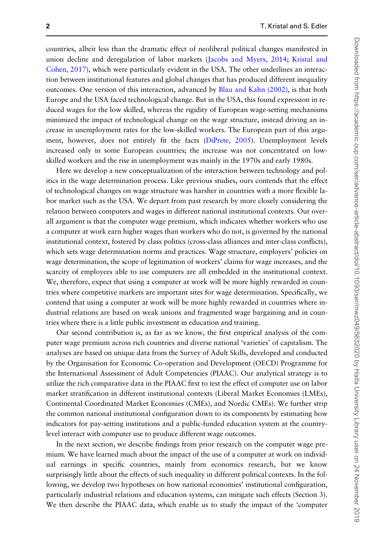countries, albeit less than the dramatic effect of neoliberal political changes manifested in union decline and deregulation of labor markets ([Jacobs and Myers, 2014](#page-23-0); [Kristal and](#page-23-0) [Cohen, 2017\)](#page-23-0), which were particularly evident in the USA. The other underlines an interaction between institutional features and global changes that has produced different inequality outcomes. One version of this interaction, advanced by [Blau and Kahn \(2002\),](#page-22-0) is that both Europe and the USA faced technological change. But in the USA, this found expression in reduced wages for the low skilled, whereas the rigidity of European wage-setting mechanisms minimized the impact of technological change on the wage structure, instead driving an increase in unemployment rates for the low-skilled workers. The European part of this argument, however, does not entirely fit the facts ([DiPrete, 2005\)](#page-22-0). Unemployment levels increased only in some European countries; the increase was not concentrated on lowskilled workers and the rise in unemployment was mainly in the 1970s and early 1980s.

Here we develop a new conceptualization of the interaction between technology and politics in the wage determination process. Like previous studies, ours contends that the effect of technological changes on wage structure was harsher in countries with a more flexible labor market such as the USA. We depart from past research by more closely considering the relation between computers and wages in different national institutional contexts. Our overall argument is that the computer wage premium, which indicates whether workers who use a computer at work earn higher wages than workers who do not, is governed by the national institutional context, fostered by class politics (cross-class alliances and inter-class conflicts), which sets wage determination norms and practices. Wage structure, employers' policies on wage determination, the scope of legitimation of workers' claims for wage increases, and the scarcity of employees able to use computers are all embedded in the institutional context. We, therefore, expect that using a computer at work will be more highly rewarded in countries where competitive markets are important sites for wage determination. Specifically, we contend that using a computer at work will be more highly rewarded in countries where industrial relations are based on weak unions and fragmented wage bargaining and in countries where there is a little public investment in education and training.

Our second contribution is, as far as we know, the first empirical analysis of the computer wage premium across rich countries and diverse national 'varieties' of capitalism. The analyses are based on unique data from the Survey of Adult Skills, developed and conducted by the Organisation for Economic Co-operation and Development (OECD) Programme for the International Assessment of Adult Competencies (PIAAC). Our analytical strategy is to utilize the rich comparative data in the PIAAC first to test the effect of computer use on labor market stratification in different institutional contexts (Liberal Market Economies (LMEs), Continental Coordinated Market Economies (CMEs), and Nordic CMEs). We further strip the common national institutional configuration down to its components by estimating how indicators for pay-setting institutions and a public-funded education system at the countrylevel interact with computer use to produce different wage outcomes.

In the next section, we describe findings from prior research on the computer wage premium. We have learned much about the impact of the use of a computer at work on individual earnings in specific countries, mainly from economics research, but we know surprisingly little about the effects of such inequality in different political contexts. In the following, we develop two hypotheses on how national economies' institutional configuration, particularly industrial relations and education systems, can mitigate such effects (Section 3). We then describe the PIAAC data, which enable us to study the impact of the 'computer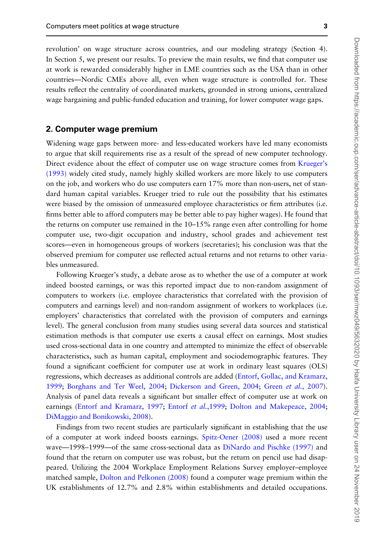revolution' on wage structure across countries, and our modeling strategy (Section 4). In Section 5, we present our results. To preview the main results, we find that computer use at work is rewarded considerably higher in LME countries such as the USA than in other countries—Nordic CMEs above all, even when wage structure is controlled for. These results reflect the centrality of coordinated markets, grounded in strong unions, centralized wage bargaining and public-funded education and training, for lower computer wage gaps.

## 2. Computer wage premium

Widening wage gaps between more- and less-educated workers have led many economists to argue that skill requirements rise as a result of the spread of new computer technology. Direct evidence about the effect of computer use on wage structure comes from [Krueger's](#page-23-0) [\(1993\)](#page-23-0) widely cited study, namely highly skilled workers are more likely to use computers on the job, and workers who do use computers earn 17% more than non-users, net of standard human capital variables. Krueger tried to rule out the possibility that his estimates were biased by the omission of unmeasured employee characteristics or firm attributes (i.e. firms better able to afford computers may be better able to pay higher wages). He found that the returns on computer use remained in the 10–15% range even after controlling for home computer use, two-digit occupation and industry, school grades and achievement test scores—even in homogeneous groups of workers (secretaries); his conclusion was that the observed premium for computer use reflected actual returns and not returns to other variables unmeasured.

Following Krueger's study, a debate arose as to whether the use of a computer at work indeed boosted earnings, or was this reported impact due to non-random assignment of computers to workers (i.e. employee characteristics that correlated with the provision of computers and earnings level) and non-random assignment of workers to workplaces (i.e. employers' characteristics that correlated with the provision of computers and earnings level). The general conclusion from many studies using several data sources and statistical estimation methods is that computer use exerts a causal effect on earnings. Most studies used cross-sectional data in one country and attempted to minimize the effect of observable characteristics, such as human capital, employment and sociodemographic features. They found a significant coefficient for computer use at work in ordinary least squares (OLS) regressions, which decreases as additional controls are added ([Entorf, Gollac, and Kramarz,](#page-22-0) [1999](#page-22-0); [Borghans and Ter Weel, 2004;](#page-22-0) [Dickerson and Green, 2004](#page-22-0); Green et al.[, 2007\)](#page-22-0). Analysis of panel data reveals a significant but smaller effect of computer use at work on earnings ([Entorf and Kramarz, 1997;](#page-22-0) [Entorf](#page-22-0) et al., 1999; [Dolton and Makepeace, 2004](#page-22-0); [DiMaggio and Bonikowski, 2008\)](#page-22-0).

Findings from two recent studies are particularly significant in establishing that the use of a computer at work indeed boosts earnings. [Spitz-Oener \(2008\)](#page-23-0) used a more recent wave—1998–1999—of the same cross-sectional data as [DiNardo and Pischke \(1997\)](#page-22-0) and found that the return on computer use was robust, but the return on pencil use had disappeared. Utilizing the 2004 Workplace Employment Relations Survey employer–employee matched sample, [Dolton and Pelkonen \(2008\)](#page-22-0) found a computer wage premium within the UK establishments of 12.7% and 2.8% within establishments and detailed occupations.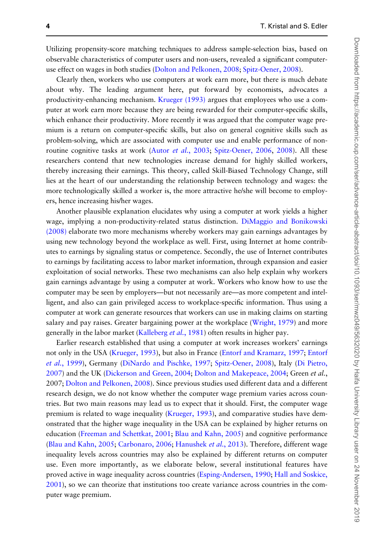Utilizing propensity-score matching techniques to address sample-selection bias, based on observable characteristics of computer users and non-users, revealed a significant computeruse effect on wages in both studies [\(Dolton and Pelkonen, 2008](#page-22-0); [Spitz-Oener, 2008\)](#page-23-0).

Clearly then, workers who use computers at work earn more, but there is much debate about why. The leading argument here, put forward by economists, advocates a productivity-enhancing mechanism. [Krueger \(1993\)](#page-23-0) argues that employees who use a computer at work earn more because they are being rewarded for their computer-specific skills, which enhance their productivity. More recently it was argued that the computer wage premium is a return on computer-specific skills, but also on general cognitive skills such as problem-solving, which are associated with computer use and enable performance of non-routine cognitive tasks at work (Autor et al.[, 2003;](#page-21-0) [Spitz-Oener, 2006,](#page-23-0) [2008](#page-23-0)). All these researchers contend that new technologies increase demand for highly skilled workers, thereby increasing their earnings. This theory, called Skill-Biased Technology Change, still lies at the heart of our understanding the relationship between technology and wages: the more technologically skilled a worker is, the more attractive he/she will become to employers, hence increasing his/her wages.

Another plausible explanation elucidates why using a computer at work yields a higher wage, implying a non-productivity-related status distinction. [DiMaggio and Bonikowski](#page-22-0) [\(2008\)](#page-22-0) elaborate two more mechanisms whereby workers may gain earnings advantages by using new technology beyond the workplace as well. First, using Internet at home contributes to earnings by signaling status or competence. Secondly, the use of Internet contributes to earnings by facilitating access to labor market information, through expansion and easier exploitation of social networks. These two mechanisms can also help explain why workers gain earnings advantage by using a computer at work. Workers who know how to use the computer may be seen by employers—but not necessarily are—as more competent and intelligent, and also can gain privileged access to workplace-specific information. Thus using a computer at work can generate resources that workers can use in making claims on starting salary and pay raises. Greater bargaining power at the workplace [\(Wright, 1979\)](#page-24-0) and more generally in the labor market ([Kalleberg](#page-23-0) et al., 1981) often results in higher pay.

Earlier research established that using a computer at work increases workers' earnings not only in the USA [\(Krueger, 1993\)](#page-23-0), but also in France [\(Entorf and Kramarz, 1997;](#page-22-0) [Entorf](#page-22-0) et al.[, 1999](#page-22-0)), Germany [\(DiNardo and Pischke, 1997;](#page-22-0) [Spitz-Oener, 2008\)](#page-23-0), Italy ([Di Pietro,](#page-22-0) [2007](#page-22-0)) and the UK [\(Dickerson and Green, 2004;](#page-22-0) [Dolton and Makepeace, 2004;](#page-22-0) Green et al., 2007; [Dolton and Pelkonen, 2008\)](#page-22-0). Since previous studies used different data and a different research design, we do not know whether the computer wage premium varies across countries. But two main reasons may lead us to expect that it should. First, the computer wage premium is related to wage inequality [\(Krueger, 1993](#page-23-0)), and comparative studies have demonstrated that the higher wage inequality in the USA can be explained by higher returns on education [\(Freeman and Schettkat, 2001](#page-22-0); [Blau and Kahn, 2005](#page-22-0)) and cognitive performance [\(Blau and Kahn, 2005](#page-22-0); [Carbonaro, 2006](#page-22-0); [Hanushek](#page-22-0) et al., 2013). Therefore, different wage inequality levels across countries may also be explained by different returns on computer use. Even more importantly, as we elaborate below, several institutional features have proved active in wage inequality across countries ([Esping-Andersen, 1990](#page-22-0); [Hall and Soskice,](#page-22-0) [2001](#page-22-0)), so we can theorize that institutions too create variance across countries in the computer wage premium.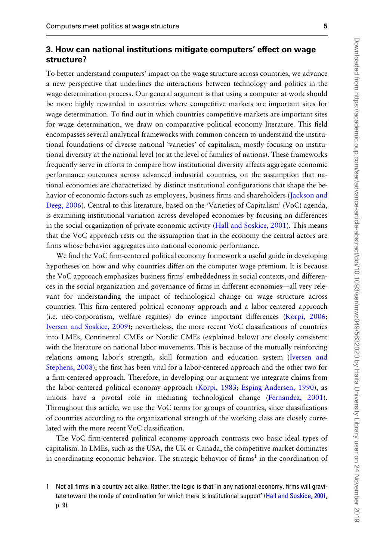# 3. How can national institutions mitigate computers' effect on wage structure?

To better understand computers' impact on the wage structure across countries, we advance a new perspective that underlines the interactions between technology and politics in the wage determination process. Our general argument is that using a computer at work should be more highly rewarded in countries where competitive markets are important sites for wage determination. To find out in which countries competitive markets are important sites for wage determination, we draw on comparative political economy literature. This field encompasses several analytical frameworks with common concern to understand the institutional foundations of diverse national 'varieties' of capitalism, mostly focusing on institutional diversity at the national level (or at the level of families of nations). These frameworks frequently serve in efforts to compare how institutional diversity affects aggregate economic performance outcomes across advanced industrial countries, on the assumption that national economies are characterized by distinct institutional configurations that shape the behavior of economic factors such as employees, business firms and shareholders [\(Jackson and](#page-23-0) [Deeg, 2006](#page-23-0)). Central to this literature, based on the 'Varieties of Capitalism' (VoC) agenda, is examining institutional variation across developed economies by focusing on differences in the social organization of private economic activity ([Hall and Soskice, 2001](#page-22-0)). This means that the VoC approach rests on the assumption that in the economy the central actors are firms whose behavior aggregates into national economic performance.

We find the VoC firm-centered political economy framework a useful guide in developing hypotheses on how and why countries differ on the computer wage premium. It is because the VoC approach emphasizes business firms' embeddedness in social contexts, and differences in the social organization and governance of firms in different economies—all very relevant for understanding the impact of technological change on wage structure across countries. This firm-centered political economy approach and a labor-centered approach (i.e. neo-corporatism, welfare regimes) do evince important differences ([Korpi, 2006](#page-23-0); [Iversen and Soskice, 2009\)](#page-23-0); nevertheless, the more recent VoC classifications of countries into LMEs, Continental CMEs or Nordic CMEs (explained below) are closely consistent with the literature on national labor movements. This is because of the mutually reinforcing relations among labor's strength, skill formation and education system ([Iversen and](#page-23-0) [Stephens, 2008\)](#page-23-0); the first has been vital for a labor-centered approach and the other two for a firm-centered approach. Therefore, in developing our argument we integrate claims from the labor-centered political economy approach [\(Korpi, 1983](#page-23-0); [Esping-Andersen, 1990\)](#page-22-0), as unions have a pivotal role in mediating technological change [\(Fernandez, 2001\)](#page-22-0). Throughout this article, we use the VoC terms for groups of countries, since classifications of countries according to the organizational strength of the working class are closely correlated with the more recent VoC classification.

The VoC firm-centered political economy approach contrasts two basic ideal types of capitalism. In LMEs, such as the USA, the UK or Canada, the competitive market dominates in coordinating economic behavior. The strategic behavior of firms<sup>1</sup> in the coordination of

<sup>1</sup> Not all firms in a country act alike. Rather, the logic is that 'in any national economy, firms will gravitate toward the mode of coordination for which there is institutional support' ([Hall and Soskice, 2001,](#page-22-0) p. 9).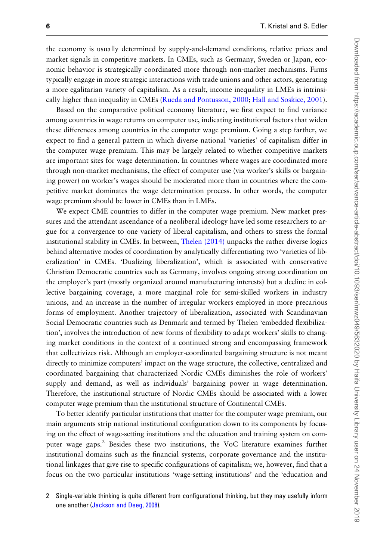the economy is usually determined by supply-and-demand conditions, relative prices and market signals in competitive markets. In CMEs, such as Germany, Sweden or Japan, economic behavior is strategically coordinated more through non-market mechanisms. Firms typically engage in more strategic interactions with trade unions and other actors, generating a more egalitarian variety of capitalism. As a result, income inequality in LMEs is intrinsically higher than inequality in CMEs [\(Rueda and Pontusson, 2000](#page-23-0); [Hall and Soskice, 2001](#page-22-0)).

Based on the comparative political economy literature, we first expect to find variance among countries in wage returns on computer use, indicating institutional factors that widen these differences among countries in the computer wage premium. Going a step farther, we expect to find a general pattern in which diverse national 'varieties' of capitalism differ in the computer wage premium. This may be largely related to whether competitive markets are important sites for wage determination. In countries where wages are coordinated more through non-market mechanisms, the effect of computer use (via worker's skills or bargaining power) on worker's wages should be moderated more than in countries where the competitive market dominates the wage determination process. In other words, the computer wage premium should be lower in CMEs than in LMEs.

We expect CME countries to differ in the computer wage premium. New market pressures and the attendant ascendance of a neoliberal ideology have led some researchers to argue for a convergence to one variety of liberal capitalism, and others to stress the formal institutional stability in CMEs. In between, [Thelen \(2014\)](#page-24-0) unpacks the rather diverse logics behind alternative modes of coordination by analytically differentiating two 'varieties of liberalization' in CMEs. 'Dualizing liberalization', which is associated with conservative Christian Democratic countries such as Germany, involves ongoing strong coordination on the employer's part (mostly organized around manufacturing interests) but a decline in collective bargaining coverage, a more marginal role for semi-skilled workers in industry unions, and an increase in the number of irregular workers employed in more precarious forms of employment. Another trajectory of liberalization, associated with Scandinavian Social Democratic countries such as Denmark and termed by Thelen 'embedded flexibilization', involves the introduction of new forms of flexibility to adapt workers' skills to changing market conditions in the context of a continued strong and encompassing framework that collectivizes risk. Although an employer-coordinated bargaining structure is not meant directly to minimize computers' impact on the wage structure, the collective, centralized and coordinated bargaining that characterized Nordic CMEs diminishes the role of workers' supply and demand, as well as individuals' bargaining power in wage determination. Therefore, the institutional structure of Nordic CMEs should be associated with a lower computer wage premium than the institutional structure of Continental CMEs.

To better identify particular institutions that matter for the computer wage premium, our main arguments strip national institutional configuration down to its components by focusing on the effect of wage-setting institutions and the education and training system on computer wage gaps.<sup>2</sup> Besides these two institutions, the VoC literature examines further institutional domains such as the financial systems, corporate governance and the institutional linkages that give rise to specific configurations of capitalism; we, however, find that a focus on the two particular institutions 'wage-setting institutions' and the 'education and

<sup>2</sup> Single-variable thinking is quite different from configurational thinking, but they may usefully inform one another ([Jackson and Deeg, 2008](#page-23-0)).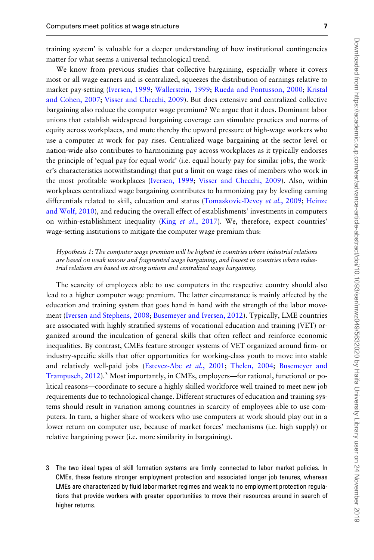training system' is valuable for a deeper understanding of how institutional contingencies matter for what seems a universal technological trend.

We know from previous studies that collective bargaining, especially where it covers most or all wage earners and is centralized, squeezes the distribution of earnings relative to market pay-setting ([Iversen, 1999](#page-23-0); [Wallerstein, 1999](#page-24-0); [Rueda and Pontusson, 2000](#page-23-0); [Kristal](#page-23-0) [and Cohen, 2007;](#page-23-0) [Visser and Checchi, 2009\)](#page-24-0). But does extensive and centralized collective bargaining also reduce the computer wage premium? We argue that it does. Dominant labor unions that establish widespread bargaining coverage can stimulate practices and norms of equity across workplaces, and mute thereby the upward pressure of high-wage workers who use a computer at work for pay rises. Centralized wage bargaining at the sector level or nation-wide also contributes to harmonizing pay across workplaces as it typically endorses the principle of 'equal pay for equal work' (i.e. equal hourly pay for similar jobs, the worker's characteristics notwithstanding) that put a limit on wage rises of members who work in the most profitable workplaces [\(Iversen, 1999;](#page-23-0) [Visser and Checchi, 2009\)](#page-24-0). Also, within workplaces centralized wage bargaining contributes to harmonizing pay by leveling earning differentials related to skill, education and status [\(Tomaskovic-Devey](#page-24-0) et al., 2009; [Heinze](#page-23-0) [and Wolf, 2010\)](#page-23-0), and reducing the overall effect of establishments' investments in computers on within-establishment inequality (King et al.[, 2017](#page-23-0)). We, therefore, expect countries' wage-setting institutions to mitigate the computer wage premium thus:

#### Hypothesis 1: The computer wage premium will be highest in countries where industrial relations are based on weak unions and fragmented wage bargaining, and lowest in countries where industrial relations are based on strong unions and centralized wage bargaining.

The scarcity of employees able to use computers in the respective country should also lead to a higher computer wage premium. The latter circumstance is mainly affected by the education and training system that goes hand in hand with the strength of the labor movement ([Iversen and Stephens, 2008;](#page-23-0) [Busemeyer and Iversen, 2012\)](#page-22-0). Typically, LME countries are associated with highly stratified systems of vocational education and training (VET) organized around the inculcation of general skills that often reflect and reinforce economic inequalities. By contrast, CMEs feature stronger systems of VET organized around firm- or industry-specific skills that offer opportunities for working-class youth to move into stable and relatively well-paid jobs [\(Estevez-Abe](#page-22-0) et al., 2001; [Thelen, 2004](#page-24-0); [Busemeyer and](#page-22-0) [Trampusch, 2012\)](#page-22-0).<sup>3</sup> Most importantly, in CMEs, employers—for rational, functional or political reasons—coordinate to secure a highly skilled workforce well trained to meet new job requirements due to technological change. Different structures of education and training systems should result in variation among countries in scarcity of employees able to use computers. In turn, a higher share of workers who use computers at work should play out in a lower return on computer use, because of market forces' mechanisms (i.e. high supply) or relative bargaining power (i.e. more similarity in bargaining).

3 The two ideal types of skill formation systems are firmly connected to labor market policies. In CMEs, these feature stronger employment protection and associated longer job tenures, whereas LMEs are characterized by fluid labor market regimes and weak to no employment protection regulations that provide workers with greater opportunities to move their resources around in search of higher returns.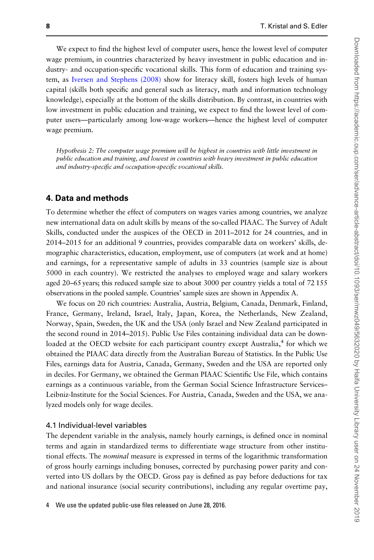We expect to find the highest level of computer users, hence the lowest level of computer wage premium, in countries characterized by heavy investment in public education and industry- and occupation-specific vocational skills. This form of education and training system, as [Iversen and Stephens \(2008\)](#page-23-0) show for literacy skill, fosters high levels of human capital (skills both specific and general such as literacy, math and information technology knowledge), especially at the bottom of the skills distribution. By contrast, in countries with low investment in public education and training, we expect to find the lowest level of computer users—particularly among low-wage workers—hence the highest level of computer wage premium.

Hypothesis 2: The computer wage premium will be highest in countries with little investment in public education and training, and lowest in countries with heavy investment in public education and industry-specific and occupation-specific vocational skills.

### 4. Data and methods

To determine whether the effect of computers on wages varies among countries, we analyze new international data on adult skills by means of the so-called PIAAC. The Survey of Adult Skills, conducted under the auspices of the OECD in 2011–2012 for 24 countries, and in 2014–2015 for an additional 9 countries, provides comparable data on workers' skills, demographic characteristics, education, employment, use of computers (at work and at home) and earnings, for a representative sample of adults in 33 countries (sample size is about 5000 in each country). We restricted the analyses to employed wage and salary workers aged 20–65 years; this reduced sample size to about 3000 per country yields a total of 72 155 observations in the pooled sample. Countries' sample sizes are shown in Appendix A.

We focus on 20 rich countries: Australia, Austria, Belgium, Canada, Denmark, Finland, France, Germany, Ireland, Israel, Italy, Japan, Korea, the Netherlands, New Zealand, Norway, Spain, Sweden, the UK and the USA (only Israel and New Zealand participated in the second round in 2014–2015). Public Use Files containing individual data can be downloaded at the OECD website for each participant country except Australia,<sup>4</sup> for which we obtained the PIAAC data directly from the Australian Bureau of Statistics. In the Public Use Files, earnings data for Austria, Canada, Germany, Sweden and the USA are reported only in deciles. For Germany, we obtained the German PIAAC Scientific Use File, which contains earnings as a continuous variable, from the German Social Science Infrastructure Services– Leibniz-Institute for the Social Sciences. For Austria, Canada, Sweden and the USA, we analyzed models only for wage deciles.

#### 4.1 Individual-level variables

The dependent variable in the analysis, namely hourly earnings, is defined once in nominal terms and again in standardized terms to differentiate wage structure from other institutional effects. The *nominal* measure is expressed in terms of the logarithmic transformation of gross hourly earnings including bonuses, corrected by purchasing power parity and converted into US dollars by the OECD. Gross pay is defined as pay before deductions for tax and national insurance (social security contributions), including any regular overtime pay,

4 We use the updated public-use files released on June 28, 2016.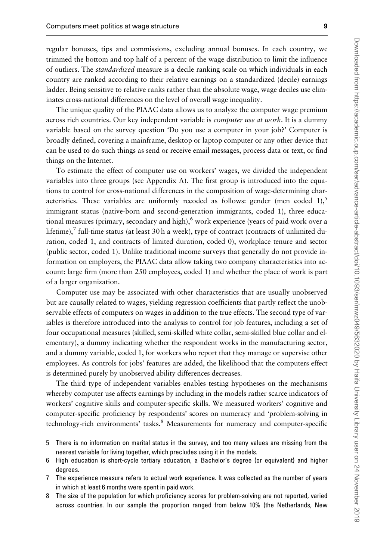regular bonuses, tips and commissions, excluding annual bonuses. In each country, we trimmed the bottom and top half of a percent of the wage distribution to limit the influence of outliers. The standardized measure is a decile ranking scale on which individuals in each country are ranked according to their relative earnings on a standardized (decile) earnings ladder. Being sensitive to relative ranks rather than the absolute wage, wage deciles use eliminates cross-national differences on the level of overall wage inequality.

The unique quality of the PIAAC data allows us to analyze the computer wage premium across rich countries. Our key independent variable is *computer use at work*. It is a dummy variable based on the survey question 'Do you use a computer in your job?' Computer is broadly defined, covering a mainframe, desktop or laptop computer or any other device that can be used to do such things as send or receive email messages, process data or text, or find things on the Internet.

To estimate the effect of computer use on workers' wages, we divided the independent variables into three groups (see Appendix A). The first group is introduced into the equations to control for cross-national differences in the composition of wage-determining characteristics. These variables are uniformly recoded as follows: gender (men coded 1), $\delta$ immigrant status (native-born and second-generation immigrants, coded 1), three educational measures (primary, secondary and high),  $6$  work experience (years of paid work over a lifetime), $\frac{7}{7}$  full-time status (at least 30 h a week), type of contract (contracts of unlimited duration, coded 1, and contracts of limited duration, coded 0), workplace tenure and sector (public sector, coded 1). Unlike traditional income surveys that generally do not provide information on employers, the PIAAC data allow taking two company characteristics into account: large firm (more than 250 employees, coded 1) and whether the place of work is part of a larger organization.

Computer use may be associated with other characteristics that are usually unobserved but are causally related to wages, yielding regression coefficients that partly reflect the unobservable effects of computers on wages in addition to the true effects. The second type of variables is therefore introduced into the analysis to control for job features, including a set of four occupational measures (skilled, semi-skilled white collar, semi-skilled blue collar and elementary), a dummy indicating whether the respondent works in the manufacturing sector, and a dummy variable, coded 1, for workers who report that they manage or supervise other employees. As controls for jobs' features are added, the likelihood that the computers effect is determined purely by unobserved ability differences decreases.

The third type of independent variables enables testing hypotheses on the mechanisms whereby computer use affects earnings by including in the models rather scarce indicators of workers' cognitive skills and computer-specific skills. We measured workers' cognitive and computer-specific proficiency by respondents' scores on numeracy and 'problem-solving in technology-rich environments' tasks.<sup>8</sup> Measurements for numeracy and computer-specific

- 5 There is no information on marital status in the survey, and too many values are missing from the nearest variable for living together, which precludes using it in the models.
- 6 High education is short-cycle tertiary education, a Bachelor's degree (or equivalent) and higher degrees.
- 7 The experience measure refers to actual work experience. It was collected as the number of years in which at least 6 months were spent in paid work.
- 8 The size of the population for which proficiency scores for problem-solving are not reported, varied across countries. In our sample the proportion ranged from below 10% (the Netherlands, New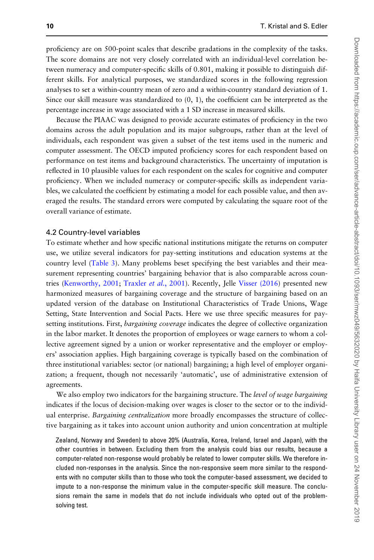proficiency are on 500-point scales that describe gradations in the complexity of the tasks. The score domains are not very closely correlated with an individual-level correlation between numeracy and computer-specific skills of 0.801, making it possible to distinguish different skills. For analytical purposes, we standardized scores in the following regression analyses to set a within-country mean of zero and a within-country standard deviation of 1. Since our skill measure was standardized to (0, 1), the coefficient can be interpreted as the percentage increase in wage associated with a 1 SD increase in measured skills.

Because the PIAAC was designed to provide accurate estimates of proficiency in the two domains across the adult population and its major subgroups, rather than at the level of individuals, each respondent was given a subset of the test items used in the numeric and computer assessment. The OECD imputed proficiency scores for each respondent based on performance on test items and background characteristics. The uncertainty of imputation is reflected in 10 plausible values for each respondent on the scales for cognitive and computer proficiency. When we included numeracy or computer-specific skills as independent variables, we calculated the coefficient by estimating a model for each possible value, and then averaged the results. The standard errors were computed by calculating the square root of the overall variance of estimate.

#### 4.2 Country-level variables

To estimate whether and how specific national institutions mitigate the returns on computer use, we utilize several indicators for pay-setting institutions and education systems at the country level ([Table 3](#page-13-0)). Many problems beset specifying the best variables and their measurement representing countries' bargaining behavior that is also comparable across coun-tries ([Kenworthy, 2001;](#page-23-0) [Traxler](#page-24-0) et al., 2001). Recently, Jelle [Visser \(2016](#page-24-0)) presented new harmonized measures of bargaining coverage and the structure of bargaining based on an updated version of the database on Institutional Characteristics of Trade Unions, Wage Setting, State Intervention and Social Pacts. Here we use three specific measures for paysetting institutions. First, *bargaining coverage* indicates the degree of collective organization in the labor market. It denotes the proportion of employees or wage earners to whom a collective agreement signed by a union or worker representative and the employer or employers' association applies. High bargaining coverage is typically based on the combination of three institutional variables: sector (or national) bargaining; a high level of employer organization; a frequent, though not necessarily 'automatic', use of administrative extension of agreements.

We also employ two indicators for the bargaining structure. The level of wage bargaining indicates if the locus of decision-making over wages is closer to the sector or to the individual enterprise. Bargaining centralization more broadly encompasses the structure of collective bargaining as it takes into account union authority and union concentration at multiple

Zealand, Norway and Sweden) to above 20% (Australia, Korea, Ireland, Israel and Japan), with the other countries in between. Excluding them from the analysis could bias our results, because a computer-related non-response would probably be related to lower computer skills. We therefore included non-responses in the analysis. Since the non-responsive seem more similar to the respondents with no computer skills than to those who took the computer-based assessment, we decided to impute to a non-response the minimum value in the computer-specific skill measure. The conclusions remain the same in models that do not include individuals who opted out of the problemsolving test.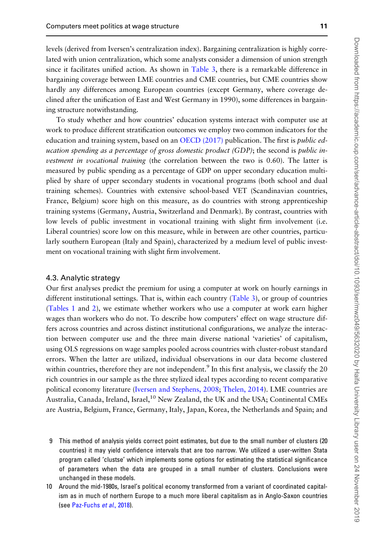levels (derived from Iversen's centralization index). Bargaining centralization is highly correlated with union centralization, which some analysts consider a dimension of union strength since it facilitates unified action. As shown in [Table 3,](#page-13-0) there is a remarkable difference in bargaining coverage between LME countries and CME countries, but CME countries show hardly any differences among European countries (except Germany, where coverage declined after the unification of East and West Germany in 1990), some differences in bargaining structure notwithstanding.

To study whether and how countries' education systems interact with computer use at work to produce different stratification outcomes we employ two common indicators for the education and training system, based on an OECD  $(2017)$  publication. The first is *public ed*ucation spending as a percentage of gross domestic product (GDP); the second is public investment in vocational training (the correlation between the two is 0.60). The latter is measured by public spending as a percentage of GDP on upper secondary education multiplied by share of upper secondary students in vocational programs (both school and dual training schemes). Countries with extensive school-based VET (Scandinavian countries, France, Belgium) score high on this measure, as do countries with strong apprenticeship training systems (Germany, Austria, Switzerland and Denmark). By contrast, countries with low levels of public investment in vocational training with slight firm involvement (i.e. Liberal countries) score low on this measure, while in between are other countries, particularly southern European (Italy and Spain), characterized by a medium level of public investment on vocational training with slight firm involvement.

#### 4.3. Analytic strategy

Our first analyses predict the premium for using a computer at work on hourly earnings in different institutional settings. That is, within each country [\(Table 3](#page-13-0)), or group of countries [\(Tables 1](#page-11-0) and [2\)](#page-12-0), we estimate whether workers who use a computer at work earn higher wages than workers who do not. To describe how computers' effect on wage structure differs across countries and across distinct institutional configurations, we analyze the interaction between computer use and the three main diverse national 'varieties' of capitalism, using OLS regressions on wage samples pooled across countries with cluster-robust standard errors. When the latter are utilized, individual observations in our data become clustered within countries, therefore they are not independent.<sup>9</sup> In this first analysis, we classify the 20 rich countries in our sample as the three stylized ideal types according to recent comparative political economy literature ([Iversen and Stephens, 2008](#page-23-0); [Thelen, 2014](#page-24-0)). LME countries are Australia, Canada, Ireland, Israel,<sup>10</sup> New Zealand, the UK and the USA; Continental CMEs are Austria, Belgium, France, Germany, Italy, Japan, Korea, the Netherlands and Spain; and

- 9 This method of analysis yields correct point estimates, but due to the small number of clusters (20 countries) it may yield confidence intervals that are too narrow. We utilized a user-written Stata program called 'clustse' which implements some options for estimating the statistical significance of parameters when the data are grouped in a small number of clusters. Conclusions were unchanged in these models.
- 10 Around the mid-1980s, Israel's political economy transformed from a variant of coordinated capitalism as in much of northern Europe to a much more liberal capitalism as in Anglo-Saxon countries (see [Paz-Fuchs](#page-23-0) et al., 2018).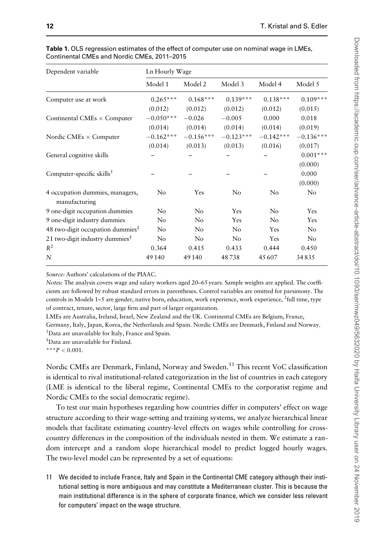| Dependent variable                               | Ln Hourly Wage |             |             |             |             |
|--------------------------------------------------|----------------|-------------|-------------|-------------|-------------|
|                                                  | Model 1        | Model 2     | Model 3     | Model 4     | Model 5     |
| Computer use at work                             | $0.265***$     | $0.168***$  | $0.139***$  | $0.138***$  | $0.109***$  |
|                                                  | (0.012)        | (0.012)     | (0.012)     | (0.012)     | (0.015)     |
| Continental CMEs $\times$ Computer               | $-0.050***$    | $-0.026$    | $-0.005$    | 0.000       | 0.018       |
|                                                  | (0.014)        | (0.014)     | (0.014)     | (0.014)     | (0.019)     |
| Nordic CMEs $\times$ Computer                    | $-0.162***$    | $-0.156***$ | $-0.123***$ | $-0.142***$ | $-0.136***$ |
|                                                  | (0.014)        | (0.013)     | (0.013)     | (0.016)     | (0.017)     |
| General cognitive skills                         |                |             |             |             | $0.001***$  |
|                                                  |                |             |             |             | (0.000)     |
| Computer-specific skills <sup>†</sup>            |                |             |             |             | 0.000       |
|                                                  |                |             |             |             | (0.000)     |
| 4 occupation dummies, managers,<br>manufacturing | $\rm No$       | Yes         | No          | No          | No          |
| 9 one-digit occupation dummies                   | No             | No          | Yes         | No          | Yes         |
| 9 one-digit industry dummies                     | No             | No          | Yes         | No          | Yes         |
| 48 two-digit occupation dummies $‡$              | No             | No          | No          | Yes         | No          |
| 21 two-digit industry dummies $‡$                | No             | No          | No          | Yes         | No          |
| $R^2$                                            | 0.364          | 0.415       | 0.433       | 0.444       | 0.450       |
| N                                                | 49 140         | 49 140      | 48738       | 45607       | 34835       |

<span id="page-11-0"></span>Table 1. OLS regression estimates of the effect of computer use on nominal wage in LMEs. Continental CMEs and Nordic CMEs, 2011–2015

Source: Authors' calculations of the PIAAC.

Notes: The analysis covers wage and salary workers aged 20–65 years. Sample weights are applied. The coefficients are followed by robust standard errors in parentheses. Control variables are omitted for parsimony. The controls in Models 1–5 are gender, native born, education, work experience, work experience, <sup>2</sup>full time, type of contract, tenure, sector, large firm and part of larger organization.

LMEs are Australia, Ireland, Israel, New Zealand and the UK. Continental CMEs are Belgium, France,

Germany, Italy, Japan, Korea, the Netherlands and Spain. Nordic CMEs are Denmark, Finland and Norway. † Data are unavailable for Italy, France and Spain.

‡ Data are unavailable for Finland.

\*\*\* $P < 0.001$ .

Nordic CMEs are Denmark, Finland, Norway and Sweden.<sup>11</sup> This recent VoC classification is identical to rival institutional-related categorization in the list of countries in each category (LME is identical to the liberal regime, Continental CMEs to the corporatist regime and Nordic CMEs to the social democratic regime).

To test our main hypotheses regarding how countries differ in computers' effect on wage structure according to their wage-setting and training systems, we analyze hierarchical linear models that facilitate estimating country-level effects on wages while controlling for crosscountry differences in the composition of the individuals nested in them. We estimate a random intercept and a random slope hierarchical model to predict logged hourly wages. The two-level model can be represented by a set of equations:

11 We decided to include France, Italy and Spain in the Continental CME category although their institutional setting is more ambiguous and may constitute a Mediterranean cluster. This is because the main institutional difference is in the sphere of corporate finance, which we consider less relevant for computers' impact on the wage structure.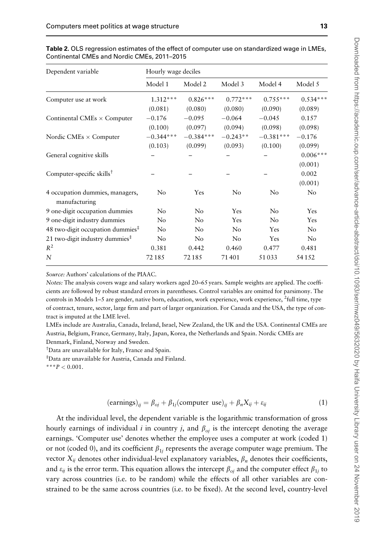| Dependent variable                    | Hourly wage deciles |                |                |                |            |
|---------------------------------------|---------------------|----------------|----------------|----------------|------------|
|                                       | Model 1             | Model 2        | Model 3        | Model 4        | Model 5    |
| Computer use at work                  | $1.312***$          | $0.826***$     | $0.772***$     | $0.755***$     | $0.534***$ |
|                                       | (0.081)             | (0.080)        | (0.080)        | (0.090)        | (0.089)    |
| Continental CMEs $\times$ Computer    | $-0.176$            | $-0.095$       | $-0.064$       | $-0.045$       | 0.157      |
|                                       | (0.100)             | (0.097)        | (0.094)        | (0.098)        | (0.098)    |
| Nordic CMEs $\times$ Computer         | $-0.344***$         | $-0.384***$    | $-0.243**$     | $-0.381***$    | $-0.176$   |
|                                       | (0.103)             | (0.099)        | (0.093)        | (0.100)        | (0.099)    |
| General cognitive skills              |                     |                |                |                | $0.006***$ |
|                                       |                     |                |                |                | (0.001)    |
| Computer-specific skills <sup>†</sup> |                     |                |                |                | 0.002      |
|                                       |                     |                |                |                | (0.001)    |
| 4 occupation dummies, managers,       | $\rm No$            | Yes            | No             | No             | $\rm No$   |
| manufacturing                         |                     |                |                |                |            |
| 9 one-digit occupation dummies        | No                  | N <sub>o</sub> | Yes            | N <sub>o</sub> | Yes        |
| 9 one-digit industry dummies          | No                  | N <sub>0</sub> | Yes            | N <sub>o</sub> | Yes        |
| 48 two-digit occupation dummies $‡$   | No                  | No             | No.            | Yes            | No         |
| 21 two-digit industry dummies $‡$     | $\rm No$            | N <sub>0</sub> | N <sub>0</sub> | Yes            | $\rm No$   |
| $R^2$                                 | 0.381               | 0.442          | 0.460          | 0.477          | 0.481      |
| N                                     | 72185               | 72185          | 71401          | 51033          | 54152      |

<span id="page-12-0"></span>Table 2. OLS regression estimates of the effect of computer use on standardized wage in LMEs. Continental CMEs and Nordic CMEs, 2011–2015

Source: Authors' calculations of the PIAAC.

Notes: The analysis covers wage and salary workers aged 20–65 years. Sample weights are applied. The coefficients are followed by robust standard errors in parentheses. Control variables are omitted for parsimony. The controls in Models 1–5 are gender, native born, education, work experience, work experience, <sup>2</sup>full time, type of contract, tenure, sector, large firm and part of larger organization. For Canada and the USA, the type of contract is imputed at the LME level.

LMEs include are Australia, Canada, Ireland, Israel, New Zealand, the UK and the USA. Continental CMEs are Austria, Belgium, France, Germany, Italy, Japan, Korea, the Netherlands and Spain. Nordic CMEs are Denmark, Finland, Norway and Sweden.

† Data are unavailable for Italy, France and Spain.

‡ Data are unavailable for Austria, Canada and Finland.

\*\*\* $P < 0.001$ .

$$
(\text{earnings})_{ij} = \beta_{oj} + \beta_{1j} (\text{computer use})_{ij} + \beta_n X_{ij} + \varepsilon_{ij}
$$
\n(1)

At the individual level, the dependent variable is the logarithmic transformation of gross hourly earnings of individual *i* in country *j*, and  $\beta_{oi}$  is the intercept denoting the average earnings. 'Computer use' denotes whether the employee uses a computer at work (coded 1) or not (coded 0), and its coefficient  $\beta_{1i}$  represents the average computer wage premium. The vector  $X_{ij}$  denotes other individual-level explanatory variables,  $\beta_n$  denotes their coefficients, and  $\varepsilon_{ij}$  is the error term. This equation allows the intercept  $\beta_{oi}$  and the computer effect  $\beta_{1i}$  to vary across countries (i.e. to be random) while the effects of all other variables are constrained to be the same across countries (i.e. to be fixed). At the second level, country-level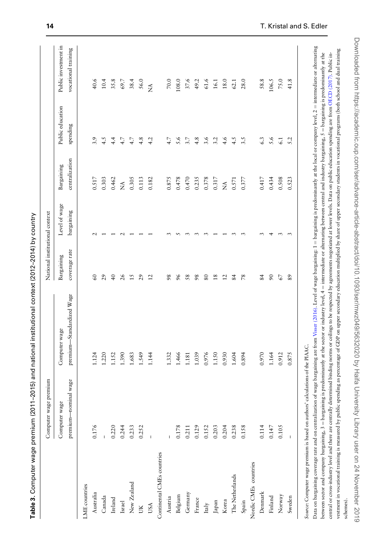<span id="page-13-0"></span>

Table 3. Computer wage premium (2011–2015) and national institutional context (2012–2014) by country

Table 3. Computer wage premium (2011–2015) and national institutional context (2012–2014) by country

|         | I<br>J<br>I<br>$\overline{\phantom{a}}$<br>ź<br>١<br>١<br>S<br>J<br>S<br>Ż<br>I<br>)<br>S<br>ì<br>i<br>I<br>j<br>-<br>-<br>-<br>-<br>j<br>l<br>j<br>I<br>$\overline{ }$<br>i<br>ļ<br>١<br>j<br>I<br>ļ<br>)<br>S<br>Ż<br>)<br>I<br>)<br>)<br>)<br>$\frac{1}{2}$<br>$\overline{ }$<br>Ï<br>ī<br>$\frac{1}{2}$<br>I<br>:<br>I<br>j<br>ļ<br>)<br>Į<br>į<br>Ś<br>j<br>s<br>"<br>j<br>j<br>j<br>١ |
|---------|---------------------------------------------------------------------------------------------------------------------------------------------------------------------------------------------------------------------------------------------------------------------------------------------------------------------------------------------------------------------------------------------|
|         | l<br>)<br>)<br>ί<br>i<br>$\overline{)}$<br>l<br>١<br>j<br>Ï<br>i<br>j<br>í<br>S<br>$\overline{\phantom{a}}$<br>ś<br>ļ<br>$\frac{1}{2}$<br>١<br>l<br>$\ddot{\cdot}$<br>i<br>١<br>١                                                                                                                                                                                                           |
|         | $\frac{1}{2}$<br><br>١<br>l<br>Ï<br>$\vdots$<br>l<br>I<br>I<br>I<br>l<br>I<br>į<br>ľ<br>١<br>۔<br>آ<br>١<br>י ויי ויי ו<br>ł                                                                                                                                                                                                                                                                |
|         | ŕ.<br>J<br>$\overline{\phantom{a}}$<br>ł<br>j<br>$\overline{\phantom{a}}$<br>$\epsilon$<br>$\widetilde{\Theta}$<br>$\overline{a}$<br>ł<br>ï<br>j<br>١<br>j<br>١                                                                                                                                                                                                                             |
| Control | $\frac{1}{2}$<br>I<br>I<br>$\overline{\phantom{a}}$<br>$\frac{1}{2}$<br>١                                                                                                                                                                                                                                                                                                                   |

vestment in vocational training is measured by public spending as percentage of GDP on upper secondary education multiplied by share of upper secondary students in vocational programs (both school and dual training between sector and company bargaining, 3 = bargaining is predominantly at the sector or industry level, 4 = intermediate or alternating between central and industry bargaining, 5 = bargaining is predominantly at the central or cross-industry level and there are centrally determined binding norms or ceilings to be respected by agreements negotiated at lower levels. Data on public education spending are from OECD (2017). Public in-

Data on bargaining coverage rate and on centralization of wage bargaining are follo. Level of wage bargaining: 1 = bargaining is predominantly at the local or company level, 2 = intermediate or alternating between sector and company bargaining, 3 = bargaining is predominantly at the sector or industry level, 4 = intermediate or alternating between central and industry bargaining, 5 = bargaining is predominantly at the central or cross-industry level and there are centrally determined binding norms or ceilings to be respected by agreements negotiated at lower levels. Data on public education spending are from OECD [\(2017\)](#page-23-0). Public investment in vocational training is measured by public spending as percentage of GDP on upper secondary education multiplied by share of upper secondary students in vocational programs (both school and dual training

Data on bargaining coverage rate and on centralization of wage bargaining are from Visser (2016). Level of wage bargaining: 1 = bargaining is predominantly at the local or company level, 2 = intermediate or alternating

|                                                                               | cer wage premium<br>Comput |                           | National institutional context |               |                   |                  |                      |
|-------------------------------------------------------------------------------|----------------------------|---------------------------|--------------------------------|---------------|-------------------|------------------|----------------------|
|                                                                               | Computer wage              | Computer wage             | Bargaining                     | Level of wage | Bargaining        | Public education | Public investment in |
|                                                                               | premium-nominal wage       | premium-Standardized Wage | coverage rate                  | bargaining    | centralization    | spending         | vocational training  |
| LME countries                                                                 |                            |                           |                                |               |                   |                  |                      |
| Australia                                                                     | 0.176                      | .124                      | 60                             |               | $0.517$           | 3.9              | 40.6                 |
| Canada                                                                        |                            | 1.220                     | 29                             |               | 0.303             | 4.5              | 10.4                 |
| Ireland                                                                       | 0.220                      | 1.152                     | $\frac{1}{4}$                  |               | 0.462             | 4.4              | 35.8                 |
| Israel                                                                        | 0.244                      | 1.390                     | 26                             |               | $\tilde{\vec{z}}$ | 4.7              | 69.7                 |
| New Zealand                                                                   | 0.233                      | 1.683                     | 15                             |               | 0.305             | 4.7              | 38.4                 |
| JK                                                                            | 0.252                      | .549                      | 29                             |               | 0.113             | 4.8              | 56.0                 |
| USA                                                                           |                            | 1.144                     | $\frac{2}{2}$                  |               | 0.182             | 4.2              | $\tilde{z}$          |
| Continental CMEs countries                                                    |                            |                           |                                |               |                   |                  |                      |
| Austria                                                                       |                            | .332                      | 98                             |               | 0.875             | 4.7              | $70.0\,$             |
| Belgium                                                                       | 0.178                      | 1.466                     | 96                             |               | 0.478             | 5.6              | 108.0                |
| Germany                                                                       | 0.211                      | 1.181                     | 58                             |               | 0.470             | 3.7              | 37.6                 |
| France                                                                        | 0.129                      | 1.039                     | 98                             |               | 0.235             | 4.8              | 49.2                 |
| $_{\rm Italy}$                                                                | 0.152                      | 0.976                     | 80                             |               | 0.378             | 3.6              | $61.6\,$             |
| $_{\mbox{Japan}}$                                                             | 0.203                      | $1.150$                   | $\frac{8}{18}$                 |               | 0.317             | 3.2              | 16.1                 |
| Korea                                                                         | 0.204                      | 0.930                     | $\overline{c}$                 |               | $\tilde{\vec{z}}$ | 4.6              | $18.0\,$             |
| The Netherlands                                                               | 0.238                      | 1.604                     | 84                             |               | 0.571             | 4.5              | 62.1                 |
| Spain                                                                         | 0.158                      | 0.894                     | 78                             |               | 0.377             | 3.5              | 28.0                 |
| Nordic CMEs countries                                                         |                            |                           |                                |               |                   |                  |                      |
| Denmark                                                                       | 0.114                      | 0.970                     | 84                             |               | 0.417             | 6.3              | 58.8                 |
| Finland                                                                       | 0.147                      | 1.164                     | $\mathcal{S}^{\mathcal{O}}$    |               | 0.434             | 5.6              | 106.5                |
| Norway                                                                        | 0.105                      | 0.912                     | 67                             |               | 0.508             | $\overline{61}$  | $75.0\,$             |
| Sweden                                                                        |                            | 0.875                     | 89                             | 3             | 0.523             | 5.2              | 41.8                 |
| Source: Computer wage premium is based on authors' calculations of the PIAAC. |                            |                           |                                |               |                   |                  |                      |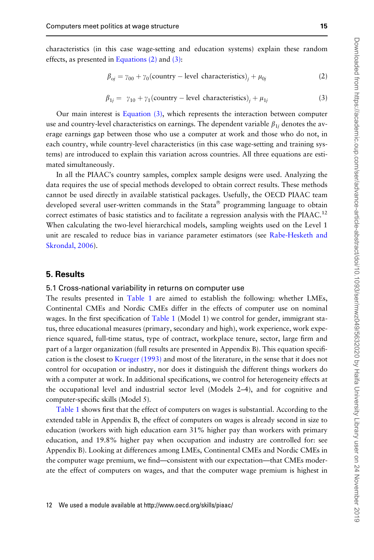characteristics (in this case wage-setting and education systems) explain these random effects, as presented in Equations (2) and (3):

$$
\beta_{oj} = \gamma_{00} + \gamma_0 \text{(country – level characteristics)}_j + \mu_{0j} \tag{2}
$$

$$
\beta_{1j} = \gamma_{10} + \gamma_1 \text{(country – level characteristics)}_j + \mu_{1j} \tag{3}
$$

Our main interest is Equation (3), which represents the interaction between computer use and country-level characteristics on earnings. The dependent variable  $\beta_{1i}$  denotes the average earnings gap between those who use a computer at work and those who do not, in each country, while country-level characteristics (in this case wage-setting and training systems) are introduced to explain this variation across countries. All three equations are estimated simultaneously.

In all the PIAAC's country samples, complex sample designs were used. Analyzing the data requires the use of special methods developed to obtain correct results. These methods cannot be used directly in available statistical packages. Usefully, the OECD PIAAC team developed several user-written commands in the Stata® programming language to obtain correct estimates of basic statistics and to facilitate a regression analysis with the PIAAC.<sup>12</sup> When calculating the two-level hierarchical models, sampling weights used on the Level 1 unit are rescaled to reduce bias in variance parameter estimators (see [Rabe-Hesketh and](#page-23-0) [Skrondal, 2006\)](#page-23-0).

#### 5. Results

#### 5.1 Cross-national variability in returns on computer use

The results presented in [Table 1](#page-11-0) are aimed to establish the following: whether LMEs, Continental CMEs and Nordic CMEs differ in the effects of computer use on nominal wages. In the first specification of [Table 1](#page-11-0) (Model 1) we control for gender, immigrant status, three educational measures (primary, secondary and high), work experience, work experience squared, full-time status, type of contract, workplace tenure, sector, large firm and part of a larger organization (full results are presented in Appendix B). This equation specification is the closest to [Krueger \(1993\)](#page-23-0) and most of the literature, in the sense that it does not control for occupation or industry, nor does it distinguish the different things workers do with a computer at work. In additional specifications, we control for heterogeneity effects at the occupational level and industrial sector level (Models 2–4), and for cognitive and computer-specific skills (Model 5).

[Table 1](#page-11-0) shows first that the effect of computers on wages is substantial. According to the extended table in Appendix B, the effect of computers on wages is already second in size to education (workers with high education earn 31% higher pay than workers with primary education, and 19.8% higher pay when occupation and industry are controlled for: see Appendix B). Looking at differences among LMEs, Continental CMEs and Nordic CMEs in the computer wage premium, we find—consistent with our expectation—that CMEs moderate the effect of computers on wages, and that the computer wage premium is highest in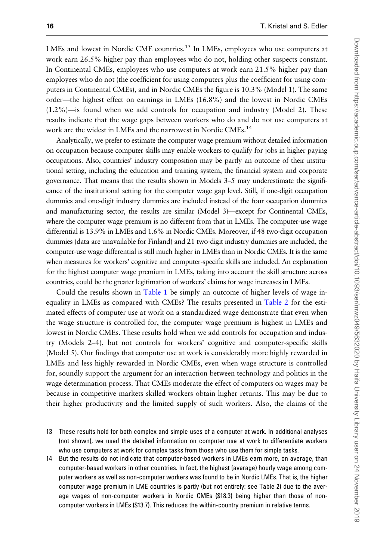LMEs and lowest in Nordic CME countries.<sup>13</sup> In LMEs, employees who use computers at work earn 26.5% higher pay than employees who do not, holding other suspects constant. In Continental CMEs, employees who use computers at work earn 21.5% higher pay than employees who do not (the coefficient for using computers plus the coefficient for using computers in Continental CMEs), and in Nordic CMEs the figure is 10.3% (Model 1). The same order—the highest effect on earnings in LMEs (16.8%) and the lowest in Nordic CMEs (1.2%)—is found when we add controls for occupation and industry (Model 2). These results indicate that the wage gaps between workers who do and do not use computers at work are the widest in LMEs and the narrowest in Nordic CMEs.<sup>14</sup>

Analytically, we prefer to estimate the computer wage premium without detailed information on occupation because computer skills may enable workers to qualify for jobs in higher paying occupations. Also, countries' industry composition may be partly an outcome of their institutional setting, including the education and training system, the financial system and corporate governance. That means that the results shown in Models 3–5 may underestimate the significance of the institutional setting for the computer wage gap level. Still, if one-digit occupation dummies and one-digit industry dummies are included instead of the four occupation dummies and manufacturing sector, the results are similar (Model 3)—except for Continental CMEs, where the computer wage premium is no different from that in LMEs. The computer-use wage differential is 13.9% in LMEs and 1.6% in Nordic CMEs. Moreover, if 48 two-digit occupation dummies (data are unavailable for Finland) and 21 two-digit industry dummies are included, the computer-use wage differential is still much higher in LMEs than in Nordic CMEs. It is the same when measures for workers' cognitive and computer-specific skills are included. An explanation for the highest computer wage premium in LMEs, taking into account the skill structure across countries, could be the greater legitimation of workers' claims for wage increases in LMEs.

Could the results shown in [Table 1](#page-11-0) be simply an outcome of higher levels of wage inequality in LMEs as compared with CMEs? The results presented in [Table 2](#page-12-0) for the estimated effects of computer use at work on a standardized wage demonstrate that even when the wage structure is controlled for, the computer wage premium is highest in LMEs and lowest in Nordic CMEs. These results hold when we add controls for occupation and industry (Models 2–4), but not controls for workers' cognitive and computer-specific skills (Model 5). Our findings that computer use at work is considerably more highly rewarded in LMEs and less highly rewarded in Nordic CMEs, even when wage structure is controlled for, soundly support the argument for an interaction between technology and politics in the wage determination process. That CMEs moderate the effect of computers on wages may be because in competitive markets skilled workers obtain higher returns. This may be due to their higher productivity and the limited supply of such workers. Also, the claims of the

- 13 These results hold for both complex and simple uses of a computer at work. In additional analyses (not shown), we used the detailed information on computer use at work to differentiate workers who use computers at work for complex tasks from those who use them for simple tasks.
- 14 But the results do not indicate that computer-based workers in LMEs earn more, on average, than computer-based workers in other countries. In fact, the highest (average) hourly wage among computer workers as well as non-computer workers was found to be in Nordic LMEs. That is, the higher computer wage premium in LME countries is partly (but not entirely: see Table 2) due to the average wages of non-computer workers in Nordic CMEs (\$18.3) being higher than those of noncomputer workers in LMEs (\$13.7). This reduces the within-country premium in relative terms.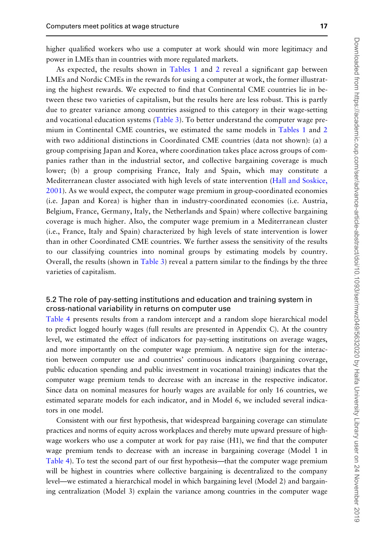higher qualified workers who use a computer at work should win more legitimacy and power in LMEs than in countries with more regulated markets.

As expected, the results shown in [Tables 1](#page-11-0) and [2](#page-12-0) reveal a significant gap between LMEs and Nordic CMEs in the rewards for using a computer at work, the former illustrating the highest rewards. We expected to find that Continental CME countries lie in between these two varieties of capitalism, but the results here are less robust. This is partly due to greater variance among countries assigned to this category in their wage-setting and vocational education systems ([Table 3](#page-13-0)). To better understand the computer wage premium in Continental CME countries, we estimated the same models in [Tables 1](#page-11-0) and [2](#page-12-0) with two additional distinctions in Coordinated CME countries (data not shown): (a) a group comprising Japan and Korea, where coordination takes place across groups of companies rather than in the industrial sector, and collective bargaining coverage is much lower; (b) a group comprising France, Italy and Spain, which may constitute a Mediterranean cluster associated with high levels of state intervention [\(Hall and Soskice,](#page-22-0) [2001\)](#page-22-0). As we would expect, the computer wage premium in group-coordinated economies (i.e. Japan and Korea) is higher than in industry-coordinated economies (i.e. Austria, Belgium, France, Germany, Italy, the Netherlands and Spain) where collective bargaining coverage is much higher. Also, the computer wage premium in a Mediterranean cluster (i.e., France, Italy and Spain) characterized by high levels of state intervention is lower than in other Coordinated CME countries. We further assess the sensitivity of the results to our classifying countries into nominal groups by estimating models by country. Overall, the results (shown in [Table 3\)](#page-13-0) reveal a pattern similar to the findings by the three varieties of capitalism.

# 5.2 The role of pay-setting institutions and education and training system in cross-national variability in returns on computer use

[Table 4](#page-17-0) presents results from a random intercept and a random slope hierarchical model to predict logged hourly wages (full results are presented in Appendix C). At the country level, we estimated the effect of indicators for pay-setting institutions on average wages, and more importantly on the computer wage premium. A negative sign for the interaction between computer use and countries' continuous indicators (bargaining coverage, public education spending and public investment in vocational training) indicates that the computer wage premium tends to decrease with an increase in the respective indicator. Since data on nominal measures for hourly wages are available for only 16 countries, we estimated separate models for each indicator, and in Model 6, we included several indicators in one model.

Consistent with our first hypothesis, that widespread bargaining coverage can stimulate practices and norms of equity across workplaces and thereby mute upward pressure of highwage workers who use a computer at work for pay raise (H1), we find that the computer wage premium tends to decrease with an increase in bargaining coverage (Model 1 in [Table 4](#page-17-0)). To test the second part of our first hypothesis—that the computer wage premium will be highest in countries where collective bargaining is decentralized to the company level—we estimated a hierarchical model in which bargaining level (Model 2) and bargaining centralization (Model 3) explain the variance among countries in the computer wage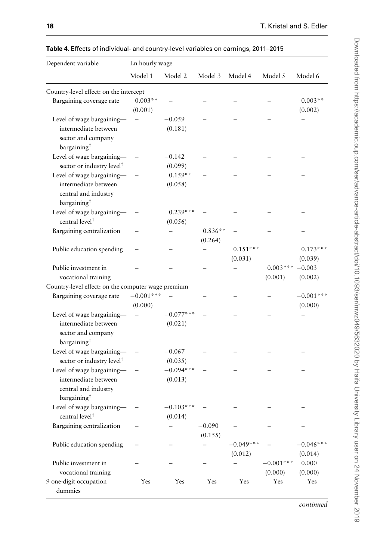| Dependent variable                                                                                 | Ln hourly wage       |                        |                      |                        |                        |                        |
|----------------------------------------------------------------------------------------------------|----------------------|------------------------|----------------------|------------------------|------------------------|------------------------|
|                                                                                                    | Model 1              | Model 2                | Model 3              | Model 4                | Model 5                | Model 6                |
| Country-level effect: on the intercept                                                             |                      |                        |                      |                        |                        |                        |
| Bargaining coverage rate                                                                           | $0.003**$<br>(0.001) |                        |                      |                        |                        | $0.003**$<br>(0.002)   |
| Level of wage bargaining-<br>intermediate between<br>sector and company                            |                      | $-0.059$<br>(0.181)    |                      |                        |                        |                        |
| bargaining <sup>+</sup>                                                                            |                      |                        |                      |                        |                        |                        |
| Level of wage bargaining-                                                                          |                      | $-0.142$               |                      |                        |                        |                        |
| sector or industry level <sup>†</sup>                                                              |                      | (0.099)                |                      |                        |                        |                        |
| Level of wage bargaining-                                                                          |                      | $0.159**$              |                      |                        |                        |                        |
| intermediate between<br>central and industry<br>bargaining <sup>†</sup>                            |                      | (0.058)                |                      |                        |                        |                        |
| Level of wage bargaining-                                                                          |                      | $0.239***$             |                      |                        |                        |                        |
| central level <sup>†</sup>                                                                         |                      | (0.056)                |                      |                        |                        |                        |
| Bargaining centralization                                                                          |                      |                        | $0.836**$<br>(0.264) |                        |                        |                        |
| Public education spending                                                                          |                      |                        |                      | $0.151***$<br>(0.031)  |                        | $0.173***$<br>(0.039)  |
| Public investment in<br>vocational training                                                        |                      |                        |                      |                        | $0.003***$<br>(0.001)  | $-0.003$<br>(0.002)    |
| Country-level effect: on the computer wage premium                                                 |                      |                        |                      |                        |                        |                        |
| Bargaining coverage rate                                                                           | $-0.001***$          |                        |                      |                        |                        | $-0.001***$            |
|                                                                                                    | (0.000)              |                        |                      |                        |                        | (0.000)                |
| Level of wage bargaining-<br>intermediate between<br>sector and company<br>bargaining <sup>†</sup> |                      | $-0.077***$<br>(0.021) |                      |                        |                        |                        |
| Level of wage bargaining-                                                                          |                      | $-0.067$               |                      |                        |                        |                        |
| sector or industry level <sup>†</sup>                                                              |                      | (0.035)                |                      |                        |                        |                        |
| Level of wage bargaining-                                                                          |                      | $-0.094***$            |                      |                        |                        |                        |
| intermediate between<br>central and industry<br>bargaining <sup>†</sup>                            |                      | (0.013)                |                      |                        |                        |                        |
| Level of wage bargaining-<br>central level <sup>+</sup>                                            |                      | $-0.103***$<br>(0.014) |                      |                        |                        |                        |
| Bargaining centralization                                                                          |                      | -                      | $-0.090$<br>(0.155)  |                        |                        |                        |
| Public education spending                                                                          |                      |                        |                      | $-0.049***$<br>(0.012) |                        | $-0.046***$<br>(0.014) |
| Public investment in<br>vocational training                                                        |                      |                        |                      |                        | $-0.001***$<br>(0.000) | 0.000<br>(0.000)       |
| 9 one-digit occupation<br>dummies                                                                  | Yes                  | Yes                    | Yes                  | Yes                    | Yes                    | Yes                    |

<span id="page-17-0"></span>Table 4. Effects of individual- and country-level variables on earnings, 2011–2015

continued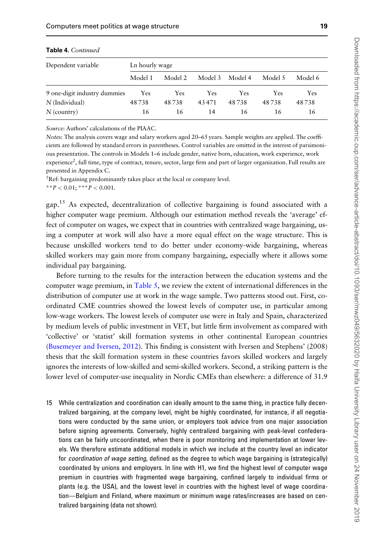| Table 4. Continued           |                |            |         |         |         |         |
|------------------------------|----------------|------------|---------|---------|---------|---------|
| Dependent variable           | Ln hourly wage |            |         |         |         |         |
|                              | Model 1        | Model 2    | Model 3 | Model 4 | Model 5 | Model 6 |
| 9 one-digit industry dummies | Yes            | <b>Yes</b> | Yes     | Yes.    | Yes     | Yes     |
| $N$ (Individual)             | 48738          | 48738      | 43471   | 48738   | 48738   | 48738   |
| $N$ (country)                | 16             | 16         | 14      | 16      | 16      | 16      |

**Table 4.** Continued

Source: Authors' calculations of the PIAAC.

Notes: The analysis covers wage and salary workers aged 20–65 years. Sample weights are applied. The coefficients are followed by standard errors in parentheses. Control variables are omitted in the interest of parsimonious presentation. The controls in Models 1–6 include gender, native born, education, work experience, work experience<sup>2</sup>, full time, type of contract, tenure, sector, large firm and part of larger organization. Full results are presented in Appendix C.

† Ref: bargaining predominantly takes place at the local or company level.

\*\* $P < 0.01$ ; \*\*\* $P < 0.001$ .

gap.<sup>15</sup> As expected, decentralization of collective bargaining is found associated with a higher computer wage premium. Although our estimation method reveals the 'average' effect of computer on wages, we expect that in countries with centralized wage bargaining, using a computer at work will also have a more equal effect on the wage structure. This is because unskilled workers tend to do better under economy-wide bargaining, whereas skilled workers may gain more from company bargaining, especially where it allows some individual pay bargaining.

Before turning to the results for the interaction between the education systems and the computer wage premium, in [Table 5](#page-19-0), we review the extent of international differences in the distribution of computer use at work in the wage sample. Two patterns stood out. First, coordinated CME countries showed the lowest levels of computer use, in particular among low-wage workers. The lowest levels of computer use were in Italy and Spain, characterized by medium levels of public investment in VET, but little firm involvement as compared with 'collective' or 'statist' skill formation systems in other continental European countries [\(Busemeyer and Iversen, 2012\)](#page-22-0). This finding is consistent with Iversen and Stephens' (2008) thesis that the skill formation system in these countries favors skilled workers and largely ignores the interests of low-skilled and semi-skilled workers. Second, a striking pattern is the lower level of computer-use inequality in Nordic CMEs than elsewhere: a difference of 31.9

15 While centralization and coordination can ideally amount to the same thing, in practice fully decentralized bargaining, at the company level, might be highly coordinated, for instance, if all negotiations were conducted by the same union, or employers took advice from one major association before signing agreements. Conversely, highly centralized bargaining with peak-level confederations can be fairly uncoordinated, when there is poor monitoring and implementation at lower levels. We therefore estimate additional models in which we include at the country level an indicator for coordination of wage setting, defined as the degree to which wage bargaining is (strategically) coordinated by unions and employers. In line with H1, we find the highest level of computer wage premium in countries with fragmented wage bargaining, confined largely to individual firms or plants (e.g. the USA), and the lowest level in countries with the highest level of wage coordination—Belgium and Finland, where maximum or minimum wage rates/increases are based on centralized bargaining (data not shown).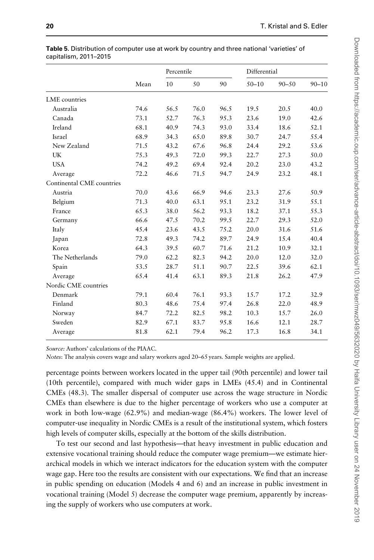| 10<br>50<br>$50 - 10$<br>$90 - 50$<br>Mean<br>90<br>LME countries<br>Australia<br>74.6<br>56.5<br>76.0<br>96.5<br>19.5<br>20.5<br>95.3<br>Canada<br>73.1<br>52.7<br>76.3<br>23.6<br>19.0<br>Ireland<br>68.1<br>40.9<br>74.3<br>33.4<br>93.0<br>18.6<br>Israel<br>68.9<br>65.0<br>89.8<br>30.7<br>34.3<br>24.7<br>New Zealand<br>71.5<br>43.2<br>67.6<br>96.8<br>24.4<br>29.2<br>UK<br>75.3<br>49.3<br>99.3<br>72.0<br>22.7<br>27.3<br><b>USA</b><br>49.2<br>69.4<br>20.2<br>74.2<br>92.4<br>23.0<br>72.2<br>46.6<br>71.5<br>94.7<br>24.9<br>23.2<br>Average<br>Continental CME countries<br>Austria<br>70.0<br>43.6<br>66.9<br>94.6<br>23.3<br>27.6<br>71.3<br>40.0<br>63.1<br>95.1<br>23.2<br>31.9<br>Belgium<br>France<br>65.3<br>38.0<br>56.2<br>93.3<br>18.2<br>37.1<br>66.6<br>70.2<br>99.5<br>22.7<br>29.3<br>47.5<br>Germany<br>45.4<br>Italy<br>23.6<br>43.5<br>75.2<br>20.0<br>31.6<br>72.8<br>49.3<br>74.2<br>89.7<br>24.9<br>15.4<br>Japan<br>60.7<br>71.6<br>Korea<br>64.3<br>39.5<br>21.2<br>10.9<br>82.3<br>94.2<br>20.0<br>The Netherlands<br>79.0<br>62.2<br>12.0<br>53.5<br>28.7<br>51.1<br>90.7<br>Spain<br>22.5<br>39.6 | $90 - 10$ |
|--------------------------------------------------------------------------------------------------------------------------------------------------------------------------------------------------------------------------------------------------------------------------------------------------------------------------------------------------------------------------------------------------------------------------------------------------------------------------------------------------------------------------------------------------------------------------------------------------------------------------------------------------------------------------------------------------------------------------------------------------------------------------------------------------------------------------------------------------------------------------------------------------------------------------------------------------------------------------------------------------------------------------------------------------------------------------------------------------------------------------------------------|-----------|
|                                                                                                                                                                                                                                                                                                                                                                                                                                                                                                                                                                                                                                                                                                                                                                                                                                                                                                                                                                                                                                                                                                                                            |           |
|                                                                                                                                                                                                                                                                                                                                                                                                                                                                                                                                                                                                                                                                                                                                                                                                                                                                                                                                                                                                                                                                                                                                            |           |
|                                                                                                                                                                                                                                                                                                                                                                                                                                                                                                                                                                                                                                                                                                                                                                                                                                                                                                                                                                                                                                                                                                                                            | 40.0      |
|                                                                                                                                                                                                                                                                                                                                                                                                                                                                                                                                                                                                                                                                                                                                                                                                                                                                                                                                                                                                                                                                                                                                            | 42.6      |
|                                                                                                                                                                                                                                                                                                                                                                                                                                                                                                                                                                                                                                                                                                                                                                                                                                                                                                                                                                                                                                                                                                                                            | 52.1      |
|                                                                                                                                                                                                                                                                                                                                                                                                                                                                                                                                                                                                                                                                                                                                                                                                                                                                                                                                                                                                                                                                                                                                            | 55.4      |
|                                                                                                                                                                                                                                                                                                                                                                                                                                                                                                                                                                                                                                                                                                                                                                                                                                                                                                                                                                                                                                                                                                                                            | 53.6      |
|                                                                                                                                                                                                                                                                                                                                                                                                                                                                                                                                                                                                                                                                                                                                                                                                                                                                                                                                                                                                                                                                                                                                            | 50.0      |
|                                                                                                                                                                                                                                                                                                                                                                                                                                                                                                                                                                                                                                                                                                                                                                                                                                                                                                                                                                                                                                                                                                                                            | 43.2      |
|                                                                                                                                                                                                                                                                                                                                                                                                                                                                                                                                                                                                                                                                                                                                                                                                                                                                                                                                                                                                                                                                                                                                            | 48.1      |
|                                                                                                                                                                                                                                                                                                                                                                                                                                                                                                                                                                                                                                                                                                                                                                                                                                                                                                                                                                                                                                                                                                                                            |           |
|                                                                                                                                                                                                                                                                                                                                                                                                                                                                                                                                                                                                                                                                                                                                                                                                                                                                                                                                                                                                                                                                                                                                            | 50.9      |
|                                                                                                                                                                                                                                                                                                                                                                                                                                                                                                                                                                                                                                                                                                                                                                                                                                                                                                                                                                                                                                                                                                                                            | 55.1      |
|                                                                                                                                                                                                                                                                                                                                                                                                                                                                                                                                                                                                                                                                                                                                                                                                                                                                                                                                                                                                                                                                                                                                            | 55.3      |
|                                                                                                                                                                                                                                                                                                                                                                                                                                                                                                                                                                                                                                                                                                                                                                                                                                                                                                                                                                                                                                                                                                                                            | 52.0      |
|                                                                                                                                                                                                                                                                                                                                                                                                                                                                                                                                                                                                                                                                                                                                                                                                                                                                                                                                                                                                                                                                                                                                            | 51.6      |
|                                                                                                                                                                                                                                                                                                                                                                                                                                                                                                                                                                                                                                                                                                                                                                                                                                                                                                                                                                                                                                                                                                                                            | 40.4      |
|                                                                                                                                                                                                                                                                                                                                                                                                                                                                                                                                                                                                                                                                                                                                                                                                                                                                                                                                                                                                                                                                                                                                            | 32.1      |
|                                                                                                                                                                                                                                                                                                                                                                                                                                                                                                                                                                                                                                                                                                                                                                                                                                                                                                                                                                                                                                                                                                                                            | 32.0      |
|                                                                                                                                                                                                                                                                                                                                                                                                                                                                                                                                                                                                                                                                                                                                                                                                                                                                                                                                                                                                                                                                                                                                            | 62.1      |
| 65.4<br>41.4<br>63.1<br>89.3<br>21.8<br>26.2<br>Average                                                                                                                                                                                                                                                                                                                                                                                                                                                                                                                                                                                                                                                                                                                                                                                                                                                                                                                                                                                                                                                                                    | 47.9      |
| Nordic CME countries                                                                                                                                                                                                                                                                                                                                                                                                                                                                                                                                                                                                                                                                                                                                                                                                                                                                                                                                                                                                                                                                                                                       |           |
| 79.1<br>60.4<br>76.1<br>Denmark<br>93.3<br>15.7<br>17.2                                                                                                                                                                                                                                                                                                                                                                                                                                                                                                                                                                                                                                                                                                                                                                                                                                                                                                                                                                                                                                                                                    | 32.9      |
| Finland<br>80.3<br>48.6<br>75.4<br>26.8<br>97.4<br>22.0                                                                                                                                                                                                                                                                                                                                                                                                                                                                                                                                                                                                                                                                                                                                                                                                                                                                                                                                                                                                                                                                                    | 48.9      |
| 84.7<br>72.2<br>82.5<br>98.2<br>10.3<br>15.7<br>Norway                                                                                                                                                                                                                                                                                                                                                                                                                                                                                                                                                                                                                                                                                                                                                                                                                                                                                                                                                                                                                                                                                     | 26.0      |
| Sweden<br>83.7<br>12.1<br>82.9<br>67.1<br>95.8<br>16.6                                                                                                                                                                                                                                                                                                                                                                                                                                                                                                                                                                                                                                                                                                                                                                                                                                                                                                                                                                                                                                                                                     | 28.7      |
| 81.8<br>62.1<br>79.4<br>96.2<br>17.3<br>16.8<br>Average                                                                                                                                                                                                                                                                                                                                                                                                                                                                                                                                                                                                                                                                                                                                                                                                                                                                                                                                                                                                                                                                                    | 34.1      |

<span id="page-19-0"></span>Table 5. Distribution of computer use at work by country and three national 'varieties' of capitalism, 2011–2015

Source: Authors' calculations of the PIAAC.

Notes: The analysis covers wage and salary workers aged 20–65 years. Sample weights are applied.

percentage points between workers located in the upper tail (90th percentile) and lower tail (10th percentile), compared with much wider gaps in LMEs (45.4) and in Continental CMEs (48.3). The smaller dispersal of computer use across the wage structure in Nordic CMEs than elsewhere is due to the higher percentage of workers who use a computer at work in both low-wage (62.9%) and median-wage (86.4%) workers. The lower level of computer-use inequality in Nordic CMEs is a result of the institutional system, which fosters high levels of computer skills, especially at the bottom of the skills distribution.

To test our second and last hypothesis—that heavy investment in public education and extensive vocational training should reduce the computer wage premium—we estimate hierarchical models in which we interact indicators for the education system with the computer wage gap. Here too the results are consistent with our expectations. We find that an increase in public spending on education (Models 4 and 6) and an increase in public investment in vocational training (Model 5) decrease the computer wage premium, apparently by increasing the supply of workers who use computers at work.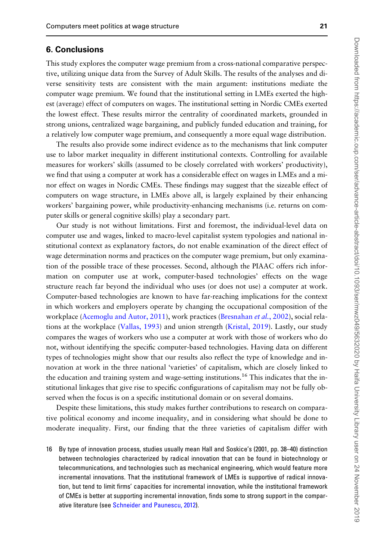### 6. Conclusions

This study explores the computer wage premium from a cross-national comparative perspective, utilizing unique data from the Survey of Adult Skills. The results of the analyses and diverse sensitivity tests are consistent with the main argument: institutions mediate the computer wage premium. We found that the institutional setting in LMEs exerted the highest (average) effect of computers on wages. The institutional setting in Nordic CMEs exerted the lowest effect. These results mirror the centrality of coordinated markets, grounded in strong unions, centralized wage bargaining, and publicly funded education and training, for a relatively low computer wage premium, and consequently a more equal wage distribution.

The results also provide some indirect evidence as to the mechanisms that link computer use to labor market inequality in different institutional contexts. Controlling for available measures for workers' skills (assumed to be closely correlated with workers' productivity), we find that using a computer at work has a considerable effect on wages in LMEs and a minor effect on wages in Nordic CMEs. These findings may suggest that the sizeable effect of computers on wage structure, in LMEs above all, is largely explained by their enhancing workers' bargaining power, while productivity-enhancing mechanisms (i.e. returns on computer skills or general cognitive skills) play a secondary part.

Our study is not without limitations. First and foremost, the individual-level data on computer use and wages, linked to macro-level capitalist system typologies and national institutional context as explanatory factors, do not enable examination of the direct effect of wage determination norms and practices on the computer wage premium, but only examination of the possible trace of these processes. Second, although the PIAAC offers rich information on computer use at work, computer-based technologies' effects on the wage structure reach far beyond the individual who uses (or does not use) a computer at work. Computer-based technologies are known to have far-reaching implications for the context in which workers and employers operate by changing the occupational composition of the workplace [\(Acemoglu and Autor, 2011](#page-21-0)), work practices [\(Bresnahan](#page-22-0) et al., 2002), social relations at the workplace [\(Vallas, 1993\)](#page-24-0) and union strength [\(Kristal, 2019\)](#page-23-0). Lastly, our study compares the wages of workers who use a computer at work with those of workers who do not, without identifying the specific computer-based technologies. Having data on different types of technologies might show that our results also reflect the type of knowledge and innovation at work in the three national 'varieties' of capitalism, which are closely linked to the education and training system and wage-setting institutions.<sup>16</sup> This indicates that the institutional linkages that give rise to specific configurations of capitalism may not be fully observed when the focus is on a specific institutional domain or on several domains.

Despite these limitations, this study makes further contributions to research on comparative political economy and income inequality, and in considering what should be done to moderate inequality. First, our finding that the three varieties of capitalism differ with

16 By type of innovation process, studies usually mean Hall and Soskice's (2001, pp. 38–40) distinction between technologies characterized by radical innovation that can be found in biotechnology or telecommunications, and technologies such as mechanical engineering, which would feature more incremental innovations. That the institutional framework of LMEs is supportive of radical innovation, but tend to limit firms' capacities for incremental innovation, while the institutional framework of CMEs is better at supporting incremental innovation, finds some to strong support in the comparative literature (see [Schneider and Paunescu, 2012\)](#page-23-0).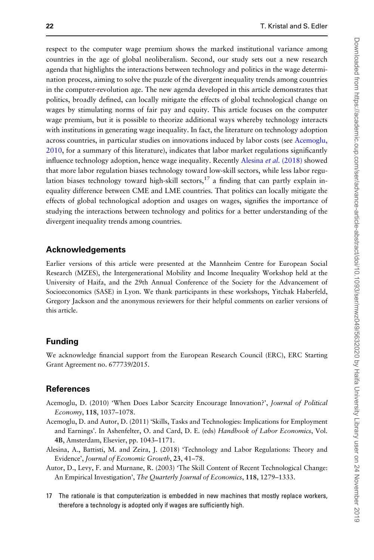<span id="page-21-0"></span>respect to the computer wage premium shows the marked institutional variance among countries in the age of global neoliberalism. Second, our study sets out a new research agenda that highlights the interactions between technology and politics in the wage determination process, aiming to solve the puzzle of the divergent inequality trends among countries in the computer-revolution age. The new agenda developed in this article demonstrates that politics, broadly defined, can locally mitigate the effects of global technological change on wages by stimulating norms of fair pay and equity. This article focuses on the computer wage premium, but it is possible to theorize additional ways whereby technology interacts with institutions in generating wage inequality. In fact, the literature on technology adoption across countries, in particular studies on innovations induced by labor costs (see Acemoglu, 2010, for a summary of this literature), indicates that labor market regulations significantly influence technology adoption, hence wage inequality. Recently Alesina *et al.* (2018) showed that more labor regulation biases technology toward low-skill sectors, while less labor regulation biases technology toward high-skill sectors,  $17$  a finding that can partly explain inequality difference between CME and LME countries. That politics can locally mitigate the effects of global technological adoption and usages on wages, signifies the importance of studying the interactions between technology and politics for a better understanding of the divergent inequality trends among countries.

#### Acknowledgements

Earlier versions of this article were presented at the Mannheim Centre for European Social Research (MZES), the Intergenerational Mobility and Income Inequality Workshop held at the University of Haifa, and the 29th Annual Conference of the Society for the Advancement of Socioeconomics (SASE) in Lyon. We thank participants in these workshops, Yitchak Haberfeld, Gregory Jackson and the anonymous reviewers for their helpful comments on earlier versions of this article.

## Funding

We acknowledge financial support from the European Research Council (ERC), ERC Starting Grant Agreement no. 677739/2015.

### **References**

- Acemoglu, D. (2010) 'When Does Labor Scarcity Encourage Innovation?', Journal of Political Economy, 118, 1037–1078.
- Acemoglu, D. and Autor, D. (2011) 'Skills, Tasks and Technologies: Implications for Employment and Earnings'. In Ashenfelter, O. and Card, D. E. (eds) Handbook of Labor Economics, Vol. 4B, Amsterdam, Elsevier, pp. 1043–1171.
- Alesina, A., Battisti, M. and Zeira, J. (2018) 'Technology and Labor Regulations: Theory and Evidence', Journal of Economic Growth, 23, 41–78.
- Autor, D., Levy, F. and Murnane, R. (2003) 'The Skill Content of Recent Technological Change: An Empirical Investigation', The Quarterly Journal of Economics, 118, 1279–1333.
- 17 The rationale is that computerization is embedded in new machines that mostly replace workers, therefore a technology is adopted only if wages are sufficiently high.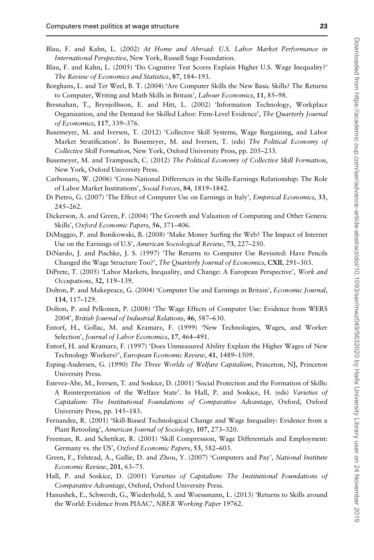- 
- <span id="page-22-0"></span>Blau, F. and Kahn, L. (2002) At Home and Abroad: U.S. Labor Market Performance in International Perspective, New York, Russell Sage Foundation.
- Blau, F. and Kahn, L. (2005) 'Do Cognitive Test Scores Explain Higher U.S. Wage Inequality?' The Review of Economics and Statistics, 87, 184–193.
- Borghans, L. and Ter Weel, B. T. (2004) 'Are Computer Skills the New Basic Skills? The Returns to Computer, Writing and Math Skills in Britain', Labour Economics, 11, 85–98.
- Bresnahan, T., Brynjolfsson, E. and Hitt, L. (2002) 'Information Technology, Workplace Organization, and the Demand for Skilled Labor: Firm-Level Evidence', The Quarterly Journal of Economics, 117, 339–376.
- Busemeyer, M. and Iversen, T. (2012) 'Collective Skill Systems, Wage Bargaining, and Labor Market Stratification'. In Busemeyer, M. and Iversen, T. (eds) The Political Economy of Collective Skill Formation, New York, Oxford University Press, pp. 205–233.
- Busemeyer, M. and Trampusch, C. (2012) The Political Economy of Collective Skill Formation, New York, Oxford University Press.
- Carbonaro, W. (2006) 'Cross-National Differences in the Skills-Earnings Relationship: The Role of Labor Market Institutions', Social Forces, 84, 1819–1842.
- Di Pietro, G. (2007) 'The Effect of Computer Use on Earnings in Italy', *Empirical Economics*, 33, 245–262.
- Dickerson, A. and Green, F. (2004) 'The Growth and Valuation of Computing and Other Generic Skills', Oxford Economic Papers, 56, 371–406.
- DiMaggio, P. and Bonikowski, B. (2008) 'Make Money Surfing the Web? The Impact of Internet Use on the Earnings of U.S', American Sociological Review, 73, 227–250.
- DiNardo, J. and Pischke, J. S. (1997) 'The Returns to Computer Use Revisited: Have Pencils Changed the Wage Structure Too?', The Quarterly Journal of Economics, CXII, 291-303.
- DiPrete, T. (2005) 'Labor Markets, Inequality, and Change: A European Perspective', Work and Occupations, 32, 119–139.
- Dolton, P. and Makepeace, G. (2004) 'Computer Use and Earnings in Britain', Economic Journal, 114, 117–129.
- Dolton, P. and Pelkonen, P. (2008) 'The Wage Effects of Computer Use: Evidence from WERS 2004', British Journal of Industrial Relations, 46, 587–630.
- Entorf, H., Gollac, M. and Kramarz, F. (1999) 'New Technologies, Wages, and Worker Selection', Journal of Labor Economics, 17, 464–491.
- Entorf, H. and Kramarz, F. (1997) 'Does Unmeasured Ability Explain the Higher Wages of New Technology Workers?', European Economic Review, 41, 1489–1509.
- Esping-Andersen, G. (1990) The Three Worlds of Welfare Capitalism, Princeton, NJ, Princeton University Press.
- Estevez-Abe, M., Iversen, T. and Soskice, D. (2001) 'Social Protection and the Formation of Skills: A Reinterpretation of the Welfare State'. In Hall, P. and Soskice, H. (eds) Varieties of Capitalism: The Institutional Foundations of Comparative Advantage, Oxford, Oxford University Press, pp. 145–183.
- Fernandez, R. (2001) 'Skill-Biased Technological Change and Wage Inequality: Evidence from a Plant Retooling', American Journal of Sociology, 107, 273-320.
- Freeman, R. and Schettkat, R. (2001) 'Skill Compression, Wage Differentials and Employment: Germany vs. the US', Oxford Economic Papers, 53, 582–603.
- Green, F., Felstead, A., Gallie, D. and Zhou, Y. (2007) 'Computers and Pay', National Institute Economic Review, 201, 63–75.
- Hall, P. and Soskice, D. (2001) Varieties of Capitalism: The Institutional Foundations of Comparative Advantage, Oxford, Oxford University Press.
- Hanushek, E., Schwerdt, G., Wiederhold, S. and Woessmann, L. (2013) 'Returns to Skills around the World: Evidence from PIAAC', NBER Working Paper 19762.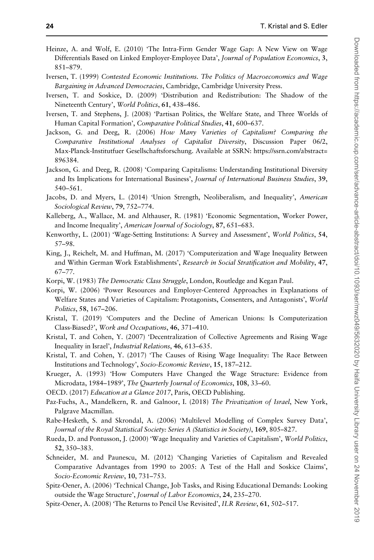- <span id="page-23-0"></span>Heinze, A. and Wolf, E. (2010) 'The Intra-Firm Gender Wage Gap: A New View on Wage Differentials Based on Linked Employer-Employee Data', Journal of Population Economics, 3, 851–879.
- Iversen, T. (1999) Contested Economic Institutions. The Politics of Macroeconomics and Wage Bargaining in Advanced Democracies, Cambridge, Cambridge University Press.
- Iversen, T. and Soskice, D. (2009) 'Distribution and Redistribution: The Shadow of the Nineteenth Century', World Politics, 61, 438–486.
- Iversen, T. and Stephens, J. (2008) 'Partisan Politics, the Welfare State, and Three Worlds of Human Capital Formation', Comparative Political Studies, 41, 600–637.
- Jackson, G. and Deeg, R. (2006) How Many Varieties of Capitalism? Comparing the Comparative Institutional Analyses of Capitalist Diversity, Discussion Paper 06/2, Max-Planck-Institutfuer Gesellschaftsforschung. Available at SSRN: [https://ssrn.com/abstract=](https://ssrn.com/abstract=896384) [896384.](https://ssrn.com/abstract=896384)
- Jackson, G. and Deeg, R. (2008) 'Comparing Capitalisms: Understanding Institutional Diversity and Its Implications for International Business', Journal of International Business Studies, 39, 540–561.
- Jacobs, D. and Myers, L. (2014) 'Union Strength, Neoliberalism, and Inequality', American Sociological Review, 79, 752–774.
- Kalleberg, A., Wallace, M. and Althauser, R. (1981) 'Economic Segmentation, Worker Power, and Income Inequality', American Journal of Sociology, 87, 651–683.
- Kenworthy, L. (2001) 'Wage-Setting Institutions: A Survey and Assessment', World Politics, 54, 57–98.
- King, J., Reichelt, M. and Huffman, M. (2017) 'Computerization and Wage Inequality Between and Within German Work Establishments', Research in Social Stratification and Mobility, 47, 67–77.
- Korpi, W. (1983) The Democratic Class Struggle, London, Routledge and Kegan Paul.
- Korpi, W. (2006) 'Power Resources and Employer-Centered Approaches in Explanations of Welfare States and Varieties of Capitalism: Protagonists, Consenters, and Antagonists', World Politics, 58, 167–206.
- Kristal, T. (2019) 'Computers and the Decline of American Unions: Is Computerization Class-Biased?', Work and Occupations, 46, 371–410.
- Kristal, T. and Cohen, Y. (2007) 'Decentralization of Collective Agreements and Rising Wage Inequality in Israel', Industrial Relations, 46, 613-635.
- Kristal, T. and Cohen, Y. (2017) 'The Causes of Rising Wage Inequality: The Race Between Institutions and Technology', Socio-Economic Review, 15, 187–212.
- Krueger, A. (1993) 'How Computers Have Changed the Wage Structure: Evidence from Microdata, 1984–1989', The Quarterly Journal of Economics, 108, 33–60.
- OECD. (2017) Education at a Glance 2017, Paris, OECD Publishing.
- Paz-Fuchs, A., Mandelkern, R. and Galnoor, I. (2018) The Privatization of Israel, New York, Palgrave Macmillan.
- Rabe-Hesketh, S. and Skrondal, A. (2006) 'Multilevel Modelling of Complex Survey Data', Journal of the Royal Statistical Society: Series A (Statistics in Society), 169, 805–827.
- Rueda, D. and Pontusson, J. (2000) 'Wage Inequality and Varieties of Capitalism', World Politics, 52, 350–383.
- Schneider, M. and Paunescu, M. (2012) 'Changing Varieties of Capitalism and Revealed Comparative Advantages from 1990 to 2005: A Test of the Hall and Soskice Claims', Socio-Economic Review, 10, 731–753.
- Spitz-Oener, A. (2006) 'Technical Change, Job Tasks, and Rising Educational Demands: Looking outside the Wage Structure', Journal of Labor Economics, 24, 235–270.
- Spitz-Oener, A. (2008) 'The Returns to Pencil Use Revisited', ILR Review, 61, 502–517.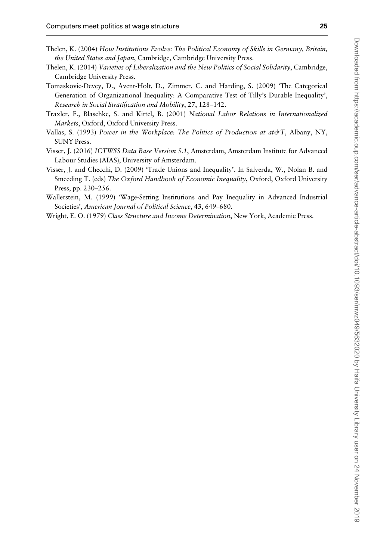- <span id="page-24-0"></span>Thelen, K. (2004) How Institutions Evolve: The Political Economy of Skills in Germany, Britain, the United States and Japan, Cambridge, Cambridge University Press.
- Thelen, K. (2014) Varieties of Liberalization and the New Politics of Social Solidarity, Cambridge, Cambridge University Press.
- Tomaskovic-Devey, D., Avent-Holt, D., Zimmer, C. and Harding, S. (2009) 'The Categorical Generation of Organizational Inequality: A Comparative Test of Tilly's Durable Inequality', Research in Social Stratification and Mobility, 27, 128–142.
- Traxler, F., Blaschke, S. and Kittel, B. (2001) National Labor Relations in Internationalized Markets, Oxford, Oxford University Press.
- Vallas, S. (1993) Power in the Workplace: The Politics of Production at at  $\mathcal{O}(\mathcal{T})$ , Albany, NY, SUNY Press.
- Visser, J. (2016) ICTWSS Data Base Version 5.1, Amsterdam, Amsterdam Institute for Advanced Labour Studies (AIAS), University of Amsterdam.
- Visser, J. and Checchi, D. (2009) 'Trade Unions and Inequality'. In Salverda, W., Nolan B. and Smeeding T. (eds) The Oxford Handbook of Economic Inequality, Oxford, Oxford University Press, pp. 230–256.
- Wallerstein, M. (1999) 'Wage-Setting Institutions and Pay Inequality in Advanced Industrial Societies', American Journal of Political Science, 43, 649–680.
- Wright, E. O. (1979) Class Structure and Income Determination, New York, Academic Press.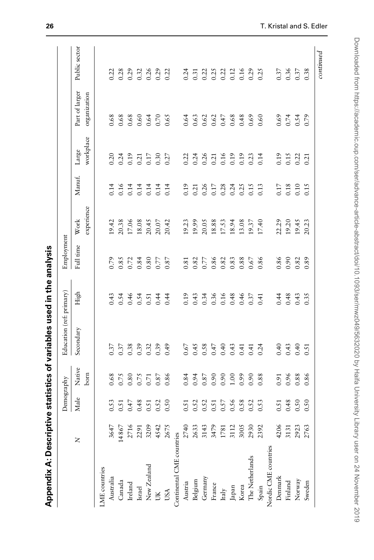| ;<br>;<br>;<br>:<br>:<br>:<br>: |
|---------------------------------|
|                                 |
| ant un pesn .                   |
|                                 |
|                                 |
| <b>strains こうこう</b>             |
| tieties of variable             |
|                                 |
| Į                               |
|                                 |
|                                 |
| l vihenen<br> <br> <br> <br>    |
| C                               |

| $0.17$<br>0.17<br>0.28<br>experience<br>Work<br>20.38<br>18.08<br>$20.45$<br>$20.07$<br>19.99<br>18.88<br>13.08<br>22.29<br>19.42<br>20.42<br>20.05<br>17.53<br>18.94<br>19.37<br>17.40<br>19.20<br>17.06<br>19.23<br>Employment<br>Full time<br>0.86<br>0.85<br>0.80<br>0.87<br>0.86<br>0.88<br>0.67<br>0.86<br>0.79<br>0.84<br>0.77<br>0.82<br>0.83<br>0.90<br>0.72<br>0.77<br>0.82<br>0.81<br>Education (ref: primary)<br>High<br>0.46<br>0.19<br>0.36<br>0.16<br>0.48<br>0.46<br>0.48<br>0.43<br>0.54<br>0.54<br>0.44<br>0.43<br>0.34<br>0.44<br>0.51<br>0.44<br>0.37<br>0.41<br>Secondary<br>0.45<br>0.38<br>0.39<br>0.49<br>0.58<br>0.47<br>0.40<br>0.37<br>0.37<br>0.32<br>0.39<br>0.67<br>0.43<br>0.40<br>0.43<br>0.41<br>0.24<br>0.41<br>Native<br>bom<br>0.86<br>0.87<br>0.90<br>66.0<br>0.68<br>$0.80$<br>0.75<br>0.87<br>0.84<br>0.94<br>0.90<br>00.1<br>0.90<br>0.88<br>0.96<br>0.75<br>0.71<br>0.91<br>Demography<br>Male<br>0.56<br>0.53<br>0.47<br>0.48<br>0.50<br>0.57<br>0.58<br>0.53<br>0.48<br>0.52<br>0.51<br>0.52<br>0.52<br>0.52<br>0.51<br>0.51<br>0.51<br>0.51<br>2716<br>3647<br>14867<br>3209<br>2675<br>2633<br>4206<br>4542<br>2740<br>3143<br>3479<br>3005<br>3112<br>2930<br>2392<br>2291<br>1781<br>3131<br>Continental CME countries<br>Z<br>Nordic CME countries<br>The Netherlands<br>New Zealand<br>LME countries<br>Denmark<br>Australia<br>Germany<br>Belgium<br>Canada<br>Finland<br>Austria<br>Ireland<br>France<br>Korea<br>Spain<br>Japan<br>Israel<br>$_{\rm Italy}$<br>USA<br>š |      |      |      |      |       |                |                    |                                |               |
|-----------------------------------------------------------------------------------------------------------------------------------------------------------------------------------------------------------------------------------------------------------------------------------------------------------------------------------------------------------------------------------------------------------------------------------------------------------------------------------------------------------------------------------------------------------------------------------------------------------------------------------------------------------------------------------------------------------------------------------------------------------------------------------------------------------------------------------------------------------------------------------------------------------------------------------------------------------------------------------------------------------------------------------------------------------------------------------------------------------------------------------------------------------------------------------------------------------------------------------------------------------------------------------------------------------------------------------------------------------------------------------------------------------------------------------------------------------------------------------------------------------------------------|------|------|------|------|-------|----------------|--------------------|--------------------------------|---------------|
|                                                                                                                                                                                                                                                                                                                                                                                                                                                                                                                                                                                                                                                                                                                                                                                                                                                                                                                                                                                                                                                                                                                                                                                                                                                                                                                                                                                                                                                                                                                             |      |      |      |      |       |                |                    |                                |               |
|                                                                                                                                                                                                                                                                                                                                                                                                                                                                                                                                                                                                                                                                                                                                                                                                                                                                                                                                                                                                                                                                                                                                                                                                                                                                                                                                                                                                                                                                                                                             |      |      |      |      |       | Manuf.         | workplace<br>Large | Part of larger<br>organization | Public sector |
|                                                                                                                                                                                                                                                                                                                                                                                                                                                                                                                                                                                                                                                                                                                                                                                                                                                                                                                                                                                                                                                                                                                                                                                                                                                                                                                                                                                                                                                                                                                             |      |      |      |      |       |                |                    |                                |               |
|                                                                                                                                                                                                                                                                                                                                                                                                                                                                                                                                                                                                                                                                                                                                                                                                                                                                                                                                                                                                                                                                                                                                                                                                                                                                                                                                                                                                                                                                                                                             |      |      |      |      |       | 0.14           | 0.20               | 0.68                           | 0.22          |
|                                                                                                                                                                                                                                                                                                                                                                                                                                                                                                                                                                                                                                                                                                                                                                                                                                                                                                                                                                                                                                                                                                                                                                                                                                                                                                                                                                                                                                                                                                                             |      |      |      |      |       | 0.16           |                    | 0.68                           | 0.28          |
|                                                                                                                                                                                                                                                                                                                                                                                                                                                                                                                                                                                                                                                                                                                                                                                                                                                                                                                                                                                                                                                                                                                                                                                                                                                                                                                                                                                                                                                                                                                             |      |      |      |      |       |                | $0.24$<br>0.19     | 0.68                           | 0.29          |
|                                                                                                                                                                                                                                                                                                                                                                                                                                                                                                                                                                                                                                                                                                                                                                                                                                                                                                                                                                                                                                                                                                                                                                                                                                                                                                                                                                                                                                                                                                                             |      |      |      |      |       | 0.14           | 0.21               | 0.60                           | 0.32          |
|                                                                                                                                                                                                                                                                                                                                                                                                                                                                                                                                                                                                                                                                                                                                                                                                                                                                                                                                                                                                                                                                                                                                                                                                                                                                                                                                                                                                                                                                                                                             |      |      |      |      |       |                |                    | 0.64                           | 0.26          |
|                                                                                                                                                                                                                                                                                                                                                                                                                                                                                                                                                                                                                                                                                                                                                                                                                                                                                                                                                                                                                                                                                                                                                                                                                                                                                                                                                                                                                                                                                                                             |      |      |      |      |       | $0.14$<br>0.14 | $0.17$<br>$0.30$   | 0.70                           | 0.29          |
|                                                                                                                                                                                                                                                                                                                                                                                                                                                                                                                                                                                                                                                                                                                                                                                                                                                                                                                                                                                                                                                                                                                                                                                                                                                                                                                                                                                                                                                                                                                             |      |      |      |      |       | 0.14           | 0.27               | 0.65                           | 0.22          |
|                                                                                                                                                                                                                                                                                                                                                                                                                                                                                                                                                                                                                                                                                                                                                                                                                                                                                                                                                                                                                                                                                                                                                                                                                                                                                                                                                                                                                                                                                                                             |      |      |      |      |       |                |                    |                                |               |
|                                                                                                                                                                                                                                                                                                                                                                                                                                                                                                                                                                                                                                                                                                                                                                                                                                                                                                                                                                                                                                                                                                                                                                                                                                                                                                                                                                                                                                                                                                                             |      |      |      |      |       | 0.19           | 0.22               | 0.64                           | 0.24          |
|                                                                                                                                                                                                                                                                                                                                                                                                                                                                                                                                                                                                                                                                                                                                                                                                                                                                                                                                                                                                                                                                                                                                                                                                                                                                                                                                                                                                                                                                                                                             |      |      |      |      |       | 0.21           | 0.24               | 0.63                           | 0.31          |
|                                                                                                                                                                                                                                                                                                                                                                                                                                                                                                                                                                                                                                                                                                                                                                                                                                                                                                                                                                                                                                                                                                                                                                                                                                                                                                                                                                                                                                                                                                                             |      |      |      |      |       |                | 0.26               | 0.62                           | 0.22          |
|                                                                                                                                                                                                                                                                                                                                                                                                                                                                                                                                                                                                                                                                                                                                                                                                                                                                                                                                                                                                                                                                                                                                                                                                                                                                                                                                                                                                                                                                                                                             |      |      |      |      |       |                | 0.21               | 0.62                           | 0.25          |
|                                                                                                                                                                                                                                                                                                                                                                                                                                                                                                                                                                                                                                                                                                                                                                                                                                                                                                                                                                                                                                                                                                                                                                                                                                                                                                                                                                                                                                                                                                                             |      |      |      |      |       |                |                    | 0.47                           | 0.22          |
|                                                                                                                                                                                                                                                                                                                                                                                                                                                                                                                                                                                                                                                                                                                                                                                                                                                                                                                                                                                                                                                                                                                                                                                                                                                                                                                                                                                                                                                                                                                             |      |      |      |      |       | 0.24           | $0.16$<br>0.19     | 0.68                           | 0.12          |
|                                                                                                                                                                                                                                                                                                                                                                                                                                                                                                                                                                                                                                                                                                                                                                                                                                                                                                                                                                                                                                                                                                                                                                                                                                                                                                                                                                                                                                                                                                                             |      |      |      |      |       | 0.25           | 0.19               | 0.48                           | 0.16          |
|                                                                                                                                                                                                                                                                                                                                                                                                                                                                                                                                                                                                                                                                                                                                                                                                                                                                                                                                                                                                                                                                                                                                                                                                                                                                                                                                                                                                                                                                                                                             |      |      |      |      |       | 0.15           | 0.23               | 0.69                           | 0.29          |
|                                                                                                                                                                                                                                                                                                                                                                                                                                                                                                                                                                                                                                                                                                                                                                                                                                                                                                                                                                                                                                                                                                                                                                                                                                                                                                                                                                                                                                                                                                                             |      |      |      |      |       | 0.13           | 0.14               | 0.60                           | 0.25          |
|                                                                                                                                                                                                                                                                                                                                                                                                                                                                                                                                                                                                                                                                                                                                                                                                                                                                                                                                                                                                                                                                                                                                                                                                                                                                                                                                                                                                                                                                                                                             |      |      |      |      |       |                |                    |                                |               |
|                                                                                                                                                                                                                                                                                                                                                                                                                                                                                                                                                                                                                                                                                                                                                                                                                                                                                                                                                                                                                                                                                                                                                                                                                                                                                                                                                                                                                                                                                                                             |      |      |      |      |       |                | 0.19               | 0.69                           | 0.37          |
|                                                                                                                                                                                                                                                                                                                                                                                                                                                                                                                                                                                                                                                                                                                                                                                                                                                                                                                                                                                                                                                                                                                                                                                                                                                                                                                                                                                                                                                                                                                             |      |      |      |      |       | $0.17$<br>0.18 | 0.15               | 0.74                           | 0.36          |
| 0.50<br>Norway                                                                                                                                                                                                                                                                                                                                                                                                                                                                                                                                                                                                                                                                                                                                                                                                                                                                                                                                                                                                                                                                                                                                                                                                                                                                                                                                                                                                                                                                                                              | 2923 | 0.88 | 0.40 | 0.82 | 19.45 | 0.10           | 0.22               | 0.54                           | 0.37          |
| 20.23<br>0.89<br>0.43<br>0.51<br>0.86<br>0.50<br>2763<br>Sweden                                                                                                                                                                                                                                                                                                                                                                                                                                                                                                                                                                                                                                                                                                                                                                                                                                                                                                                                                                                                                                                                                                                                                                                                                                                                                                                                                                                                                                                             |      |      |      |      |       | 0.15           | 0.21               | 0.79                           | 0.38          |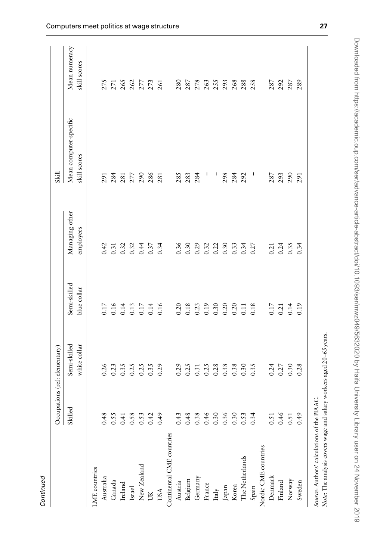| ٦ |
|---|
|   |
|   |
|   |
|   |
|   |

|                                      | Occupations (ref: elementary) |                              |                              |                                      | Skill                                  |                               |
|--------------------------------------|-------------------------------|------------------------------|------------------------------|--------------------------------------|----------------------------------------|-------------------------------|
|                                      | Skilled                       | Semi-skilled<br>white collar | Semi-skilled<br>blue collar  | Managing other<br>employees          | Mean computer-specific<br>skill scores | Mean numeracy<br>skill scores |
| ME countries                         |                               |                              |                              |                                      |                                        |                               |
| Australia                            | 0.48                          | 0.26                         | 0.17                         | 0.42                                 | 291                                    | 275                           |
| Canada                               | 0.55                          | 0.23                         |                              | 0.31                                 | 284                                    | 271                           |
| Ireland                              |                               |                              |                              |                                      |                                        | 265                           |
| Israel                               | $0.41$<br>0.58                |                              |                              |                                      | $\frac{281}{277}$                      | 262                           |
| New Zealand                          | 0.53                          |                              |                              |                                      | 290                                    | 277                           |
| JK                                   | 0.42                          | 35<br>0.35<br>0.35           | 0.14<br>0.13<br>0.17<br>0.14 | $0.32$<br>$0.34$<br>$0.47$<br>$0.37$ | 286                                    | 273                           |
| USA                                  | 64.0                          | 0.29                         | 0.16                         | 0.34                                 | 281                                    | 261                           |
| Continental CME countries            |                               |                              |                              |                                      |                                        |                               |
| Austria                              | 0.43                          | 0.29                         | 0.20                         | 0.36                                 | 285                                    | 280                           |
| Belgium                              | 0.48                          | 0.25                         | 0.18                         | 0.30                                 | 283                                    | 287                           |
| Germany                              |                               | 0.31                         |                              | 0.29                                 | 284                                    | 278                           |
| France                               | $0.38$<br>0.46                |                              | $0.23$<br>0.19               | 0.32                                 |                                        | 263                           |
| Italy                                |                               |                              |                              |                                      | J                                      | 255                           |
| $_{\rm Japan}$                       | $0.30$<br>$0.36$              | $0.25$<br>$0.38$<br>$0.38$   | 0.30                         | $0.22$<br>$0.30$                     | 298                                    | 293                           |
| Korea                                | 0.30                          | 0.38                         | 0.20                         | 0.33                                 | 284                                    | 268                           |
| The Netherlands                      | 0.53                          | 0.30                         | 0.11                         | 0.34                                 | 292                                    | 288                           |
| Spain                                | 0.34                          | 0.35                         | 0.18                         | 0.27                                 | $\overline{1}$                         | 258                           |
| Nordic CME countries                 |                               |                              |                              |                                      |                                        |                               |
| Denmark                              | 0.5                           | 0.24                         | 0.17                         | 0.21                                 | 287                                    | 287                           |
| Finland                              | 0.46                          | 0.27                         | 0.21                         |                                      | 293                                    | 292                           |
| Norway                               | 0.5                           | 0.30                         | 0.14                         | $0.24$<br>0.35                       | 290                                    | 287                           |
| Sweden                               | 0.49                          | 0.28                         | 0.19                         | 0.34                                 | 291                                    | 289                           |
| Source: Authors' calculations of the | PIAAC.                        |                              |                              |                                      |                                        |                               |

Note: The analysis covers wage and salary workers aged 20–65 years.

Note: The analysis covers wage and salary workers aged 20-65 years.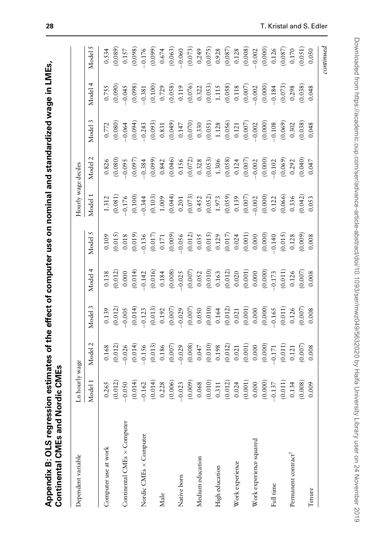| - ~~ mnuter use on nominal and standardized we |           |
|------------------------------------------------|-----------|
|                                                |           |
|                                                |           |
|                                                |           |
| is of the effect of co                         |           |
|                                                |           |
|                                                |           |
| うりり                                            |           |
|                                                |           |
|                                                | ľ         |
| - araccion cotinent.                           |           |
|                                                |           |
|                                                | s and Nor |
|                                                |           |
|                                                |           |
|                                                |           |
|                                                |           |
|                                                |           |
|                                                |           |

| Dependent variable              | .n hourly wage                                                                                                                                                                                                                                                                                 |                                                                                                                                                                                                                                                                                                      |                                                                                                                                                                                                                                                                                                                              |                                                                                                                                                                                                                                                                                                     |                                                                                                                                                                                                                                                                                               | Hourly wage deciles                                                                                                                                                                                                                                                                                   |                                                                                                                                                                                                                                                                       |                                                                                                                                                                                                                                                                                                                     |                                                                                                                                                                                                                                                                                                        |                                                                                                                                                                                                                                                                       |
|---------------------------------|------------------------------------------------------------------------------------------------------------------------------------------------------------------------------------------------------------------------------------------------------------------------------------------------|------------------------------------------------------------------------------------------------------------------------------------------------------------------------------------------------------------------------------------------------------------------------------------------------------|------------------------------------------------------------------------------------------------------------------------------------------------------------------------------------------------------------------------------------------------------------------------------------------------------------------------------|-----------------------------------------------------------------------------------------------------------------------------------------------------------------------------------------------------------------------------------------------------------------------------------------------------|-----------------------------------------------------------------------------------------------------------------------------------------------------------------------------------------------------------------------------------------------------------------------------------------------|-------------------------------------------------------------------------------------------------------------------------------------------------------------------------------------------------------------------------------------------------------------------------------------------------------|-----------------------------------------------------------------------------------------------------------------------------------------------------------------------------------------------------------------------------------------------------------------------|---------------------------------------------------------------------------------------------------------------------------------------------------------------------------------------------------------------------------------------------------------------------------------------------------------------------|--------------------------------------------------------------------------------------------------------------------------------------------------------------------------------------------------------------------------------------------------------------------------------------------------------|-----------------------------------------------------------------------------------------------------------------------------------------------------------------------------------------------------------------------------------------------------------------------|
|                                 | Model 1                                                                                                                                                                                                                                                                                        | Model 2                                                                                                                                                                                                                                                                                              | Model 3                                                                                                                                                                                                                                                                                                                      | Model 4                                                                                                                                                                                                                                                                                             | Model 5                                                                                                                                                                                                                                                                                       | Model 1                                                                                                                                                                                                                                                                                               | Model 2                                                                                                                                                                                                                                                               | Model 3                                                                                                                                                                                                                                                                                                             | Model 4                                                                                                                                                                                                                                                                                                | Model 5                                                                                                                                                                                                                                                               |
| Computer use at work            |                                                                                                                                                                                                                                                                                                |                                                                                                                                                                                                                                                                                                      |                                                                                                                                                                                                                                                                                                                              |                                                                                                                                                                                                                                                                                                     |                                                                                                                                                                                                                                                                                               |                                                                                                                                                                                                                                                                                                       |                                                                                                                                                                                                                                                                       |                                                                                                                                                                                                                                                                                                                     |                                                                                                                                                                                                                                                                                                        |                                                                                                                                                                                                                                                                       |
|                                 |                                                                                                                                                                                                                                                                                                |                                                                                                                                                                                                                                                                                                      |                                                                                                                                                                                                                                                                                                                              |                                                                                                                                                                                                                                                                                                     |                                                                                                                                                                                                                                                                                               |                                                                                                                                                                                                                                                                                                       |                                                                                                                                                                                                                                                                       |                                                                                                                                                                                                                                                                                                                     |                                                                                                                                                                                                                                                                                                        |                                                                                                                                                                                                                                                                       |
| Continental CMEs x Computer     |                                                                                                                                                                                                                                                                                                |                                                                                                                                                                                                                                                                                                      |                                                                                                                                                                                                                                                                                                                              |                                                                                                                                                                                                                                                                                                     |                                                                                                                                                                                                                                                                                               |                                                                                                                                                                                                                                                                                                       |                                                                                                                                                                                                                                                                       |                                                                                                                                                                                                                                                                                                                     |                                                                                                                                                                                                                                                                                                        |                                                                                                                                                                                                                                                                       |
|                                 |                                                                                                                                                                                                                                                                                                |                                                                                                                                                                                                                                                                                                      |                                                                                                                                                                                                                                                                                                                              |                                                                                                                                                                                                                                                                                                     |                                                                                                                                                                                                                                                                                               |                                                                                                                                                                                                                                                                                                       |                                                                                                                                                                                                                                                                       |                                                                                                                                                                                                                                                                                                                     |                                                                                                                                                                                                                                                                                                        |                                                                                                                                                                                                                                                                       |
| Nordic CMEs × Computer          |                                                                                                                                                                                                                                                                                                |                                                                                                                                                                                                                                                                                                      |                                                                                                                                                                                                                                                                                                                              |                                                                                                                                                                                                                                                                                                     |                                                                                                                                                                                                                                                                                               |                                                                                                                                                                                                                                                                                                       |                                                                                                                                                                                                                                                                       |                                                                                                                                                                                                                                                                                                                     |                                                                                                                                                                                                                                                                                                        |                                                                                                                                                                                                                                                                       |
|                                 |                                                                                                                                                                                                                                                                                                |                                                                                                                                                                                                                                                                                                      |                                                                                                                                                                                                                                                                                                                              |                                                                                                                                                                                                                                                                                                     |                                                                                                                                                                                                                                                                                               |                                                                                                                                                                                                                                                                                                       |                                                                                                                                                                                                                                                                       |                                                                                                                                                                                                                                                                                                                     |                                                                                                                                                                                                                                                                                                        |                                                                                                                                                                                                                                                                       |
| Male                            |                                                                                                                                                                                                                                                                                                |                                                                                                                                                                                                                                                                                                      |                                                                                                                                                                                                                                                                                                                              |                                                                                                                                                                                                                                                                                                     |                                                                                                                                                                                                                                                                                               |                                                                                                                                                                                                                                                                                                       |                                                                                                                                                                                                                                                                       |                                                                                                                                                                                                                                                                                                                     |                                                                                                                                                                                                                                                                                                        |                                                                                                                                                                                                                                                                       |
|                                 |                                                                                                                                                                                                                                                                                                |                                                                                                                                                                                                                                                                                                      |                                                                                                                                                                                                                                                                                                                              |                                                                                                                                                                                                                                                                                                     |                                                                                                                                                                                                                                                                                               |                                                                                                                                                                                                                                                                                                       |                                                                                                                                                                                                                                                                       |                                                                                                                                                                                                                                                                                                                     |                                                                                                                                                                                                                                                                                                        |                                                                                                                                                                                                                                                                       |
| Native born                     |                                                                                                                                                                                                                                                                                                |                                                                                                                                                                                                                                                                                                      |                                                                                                                                                                                                                                                                                                                              |                                                                                                                                                                                                                                                                                                     |                                                                                                                                                                                                                                                                                               |                                                                                                                                                                                                                                                                                                       |                                                                                                                                                                                                                                                                       |                                                                                                                                                                                                                                                                                                                     |                                                                                                                                                                                                                                                                                                        |                                                                                                                                                                                                                                                                       |
|                                 |                                                                                                                                                                                                                                                                                                |                                                                                                                                                                                                                                                                                                      |                                                                                                                                                                                                                                                                                                                              |                                                                                                                                                                                                                                                                                                     |                                                                                                                                                                                                                                                                                               |                                                                                                                                                                                                                                                                                                       |                                                                                                                                                                                                                                                                       |                                                                                                                                                                                                                                                                                                                     |                                                                                                                                                                                                                                                                                                        |                                                                                                                                                                                                                                                                       |
| Medium education                |                                                                                                                                                                                                                                                                                                |                                                                                                                                                                                                                                                                                                      |                                                                                                                                                                                                                                                                                                                              |                                                                                                                                                                                                                                                                                                     |                                                                                                                                                                                                                                                                                               |                                                                                                                                                                                                                                                                                                       |                                                                                                                                                                                                                                                                       |                                                                                                                                                                                                                                                                                                                     |                                                                                                                                                                                                                                                                                                        |                                                                                                                                                                                                                                                                       |
|                                 | $\begin{array}{r} 0.265 \\ 0.011 \\ 0.014 \\ -0.050 \\ 0.004 \\ 0.006 \\ 0.0006 \\ 0.0008 \\ 0.0009 \\ 0.0000 \\ 0.0000 \\ 0.0000 \\ 0.0011 \\ 0.001 \\ 0.0000 \\ 0.0000 \\ 0.0000 \\ 0.0000 \\ 0.0000 \\ 0.0000 \\ 0.0000 \\ 0.0000 \\ 0.0000 \\ 0.0000 \\ 0.0000 \\ 0.0000 \\ 0.0000 \\ 0.0$ | $\begin{array}{c} 0.168 \\ 0.0121 \\ -0.026 \\ 0.014 \\ 0.013 \\ 0.000 \\ 0.000 \\ 0.000 \\ 0.000 \\ 0.000 \\ 0.000 \\ 0.000 \\ 0.000 \\ 0.001 \\ 0.001 \\ 0.000 \\ 0.000 \\ 0.000 \\ 0.000 \\ 0.000 \\ 0.000 \\ 0.000 \\ 0.000 \\ 0.000 \\ 0.000 \\ 0.000 \\ 0.000 \\ 0.000 \\ 0.000 \\ 0.000 \\ 0$ | $\begin{array}{r} 0.139 \\ 0.0121 \\ -0.005 \\ -0.014 \\ 0.0121 \\ -0.005 \\ -0.0121 \\ -0.0121 \\ -0.005 \\ -0.005 \\ -0.005 \\ -0.005 \\ -0.005 \\ -0.005 \\ -0.005 \\ -0.005 \\ -0.005 \\ -0.005 \\ -0.005 \\ -0.005 \\ -0.005 \\ -0.005 \\ -0.005 \\ -0.005 \\ -0.005 \\ -0.005 \\ -0.005 \\ -0.005 \\ -0.005 \\ -0.005$ | $\begin{array}{r} 0.138 \\ 0.0121 \\ 0.000 \\ 0.014 \\ 0.014 \\ 0.000 \\ 0.000 \\ 0.000 \\ 0.000 \\ 0.000 \\ 0.000 \\ 0.000 \\ 0.000 \\ 0.000 \\ 0.000 \\ 0.000 \\ 0.000 \\ 0.000 \\ 0.000 \\ 0.000 \\ 0.000 \\ 0.000 \\ 0.000 \\ 0.000 \\ 0.000 \\ 0.000 \\ 0.000 \\ 0.000 \\ 0.000 \\ 0.000 \\ 0$ | $\begin{array}{r} 0.109 \\ 0.015 \\ 0.015 \\ 0.019 \\ 0.017 \\ 0.017 \\ 0.009 \\ 0.0009 \\ 0.0009 \\ 0.0000 \\ 0.0000 \\ 0.0000 \\ 0.0000 \\ 0.0000 \\ 0.0000 \\ 0.0000 \\ 0.0000 \\ 0.0000 \\ 0.0000 \\ 0.0000 \\ 0.0000 \\ 0.0000 \\ 0.0000 \\ 0.0000 \\ 0.0000 \\ 0.0000 \\ 0.0000 \\ 0.0$ | $\begin{array}{l} 1.312 \\ 1.0081 \\ 0.009 \\ -0.176 \\ 0.100 \\ 0.000 \\ -0.000 \\ 0.000 \\ 0.000 \\ 0.000 \\ 0.000 \\ 0.000 \\ 0.000 \\ 0.000 \\ 0.000 \\ 0.000 \\ 0.000 \\ 0.000 \\ 0.000 \\ 0.000 \\ 0.000 \\ 0.000 \\ 0.000 \\ 0.000 \\ 0.000 \\ 0.000 \\ 0.000 \\ 0.000 \\ 0.000 \\ 0.000 \\ 0$ | $\begin{array}{l} 6.826\\ 0.0890\\ 0.097\\ 0.097\\ 0.097\\ 0.098\\ 0.099\\ 0.097\\ 0.099\\ 0.099\\ 0.000\\ 0.000\\ 0.000\\ 0.000\\ 0.000\\ 0.000\\ 0.000\\ 0.000\\ 0.000\\ 0.000\\ 0.000\\ 0.000\\ 0.000\\ 0.000\\ 0.000\\ 0.000\\ 0.000\\ 0.000\\ 0.000\\ 0.000\\ 0$ | $\begin{array}{l} 1.772 \\ 0.0800 \\ -0.064 \\ 0.0941 \\ -0.0943 \\ -0.0943 \\ -0.0931 \\ -0.0943 \\ -0.0004 \\ -0.0000 \\ -0.0000 \\ -0.0000 \\ -0.0000 \\ -0.0000 \\ -0.0000 \\ -0.0000 \\ -0.0000 \\ -0.0000 \\ -0.0000 \\ -0.0000 \\ -0.0000 \\ -0.0000 \\ -0.0000 \\ -0.0000 \\ -0.0000 \\ -0.0000 \\ -0.0000$ | $\begin{array}{l} 0.755 \\ 0.099 \\ -0.048 \\ 0.109 \\ -0.048 \\ 0.098 \\ 0.009 \\ -0.009 \\ 0.000 \\ 0.000 \\ 0.000 \\ 0.000 \\ 0.000 \\ 0.000 \\ 0.000 \\ 0.000 \\ 0.000 \\ 0.000 \\ 0.000 \\ 0.000 \\ 0.000 \\ 0.000 \\ 0.000 \\ 0.000 \\ 0.000 \\ 0.000 \\ 0.000 \\ 0.000 \\ 0.000 \\ 0.000 \\ 0.$ | $\begin{array}{l} 0.534\\ 0.089\\ 0.009\\ 0.000\\ 0.000\\ 0.000\\ 0.000\\ 0.000\\ 0.000\\ 0.000\\ 0.000\\ 0.000\\ 0.000\\ 0.000\\ 0.000\\ 0.000\\ 0.000\\ 0.000\\ 0.000\\ 0.000\\ 0.000\\ 0.000\\ 0.000\\ 0.000\\ 0.000\\ 0.000\\ 0.000\\ 0.000\\ 0.000\\ 0.000\\ 0.$ |
| High education                  |                                                                                                                                                                                                                                                                                                |                                                                                                                                                                                                                                                                                                      |                                                                                                                                                                                                                                                                                                                              |                                                                                                                                                                                                                                                                                                     |                                                                                                                                                                                                                                                                                               |                                                                                                                                                                                                                                                                                                       |                                                                                                                                                                                                                                                                       |                                                                                                                                                                                                                                                                                                                     |                                                                                                                                                                                                                                                                                                        |                                                                                                                                                                                                                                                                       |
|                                 |                                                                                                                                                                                                                                                                                                |                                                                                                                                                                                                                                                                                                      |                                                                                                                                                                                                                                                                                                                              |                                                                                                                                                                                                                                                                                                     |                                                                                                                                                                                                                                                                                               |                                                                                                                                                                                                                                                                                                       |                                                                                                                                                                                                                                                                       |                                                                                                                                                                                                                                                                                                                     |                                                                                                                                                                                                                                                                                                        |                                                                                                                                                                                                                                                                       |
| Work experience                 |                                                                                                                                                                                                                                                                                                |                                                                                                                                                                                                                                                                                                      |                                                                                                                                                                                                                                                                                                                              |                                                                                                                                                                                                                                                                                                     |                                                                                                                                                                                                                                                                                               |                                                                                                                                                                                                                                                                                                       |                                                                                                                                                                                                                                                                       |                                                                                                                                                                                                                                                                                                                     |                                                                                                                                                                                                                                                                                                        |                                                                                                                                                                                                                                                                       |
|                                 |                                                                                                                                                                                                                                                                                                |                                                                                                                                                                                                                                                                                                      |                                                                                                                                                                                                                                                                                                                              |                                                                                                                                                                                                                                                                                                     |                                                                                                                                                                                                                                                                                               |                                                                                                                                                                                                                                                                                                       |                                                                                                                                                                                                                                                                       |                                                                                                                                                                                                                                                                                                                     |                                                                                                                                                                                                                                                                                                        |                                                                                                                                                                                                                                                                       |
| Work experience squared         |                                                                                                                                                                                                                                                                                                |                                                                                                                                                                                                                                                                                                      |                                                                                                                                                                                                                                                                                                                              |                                                                                                                                                                                                                                                                                                     |                                                                                                                                                                                                                                                                                               |                                                                                                                                                                                                                                                                                                       |                                                                                                                                                                                                                                                                       |                                                                                                                                                                                                                                                                                                                     |                                                                                                                                                                                                                                                                                                        |                                                                                                                                                                                                                                                                       |
|                                 |                                                                                                                                                                                                                                                                                                |                                                                                                                                                                                                                                                                                                      |                                                                                                                                                                                                                                                                                                                              |                                                                                                                                                                                                                                                                                                     |                                                                                                                                                                                                                                                                                               |                                                                                                                                                                                                                                                                                                       |                                                                                                                                                                                                                                                                       |                                                                                                                                                                                                                                                                                                                     |                                                                                                                                                                                                                                                                                                        |                                                                                                                                                                                                                                                                       |
| Full time                       |                                                                                                                                                                                                                                                                                                |                                                                                                                                                                                                                                                                                                      |                                                                                                                                                                                                                                                                                                                              |                                                                                                                                                                                                                                                                                                     |                                                                                                                                                                                                                                                                                               |                                                                                                                                                                                                                                                                                                       |                                                                                                                                                                                                                                                                       |                                                                                                                                                                                                                                                                                                                     |                                                                                                                                                                                                                                                                                                        |                                                                                                                                                                                                                                                                       |
|                                 |                                                                                                                                                                                                                                                                                                |                                                                                                                                                                                                                                                                                                      |                                                                                                                                                                                                                                                                                                                              |                                                                                                                                                                                                                                                                                                     |                                                                                                                                                                                                                                                                                               |                                                                                                                                                                                                                                                                                                       |                                                                                                                                                                                                                                                                       |                                                                                                                                                                                                                                                                                                                     |                                                                                                                                                                                                                                                                                                        |                                                                                                                                                                                                                                                                       |
| Permanent contract <sup>1</sup> |                                                                                                                                                                                                                                                                                                |                                                                                                                                                                                                                                                                                                      |                                                                                                                                                                                                                                                                                                                              |                                                                                                                                                                                                                                                                                                     |                                                                                                                                                                                                                                                                                               |                                                                                                                                                                                                                                                                                                       |                                                                                                                                                                                                                                                                       |                                                                                                                                                                                                                                                                                                                     |                                                                                                                                                                                                                                                                                                        |                                                                                                                                                                                                                                                                       |
|                                 |                                                                                                                                                                                                                                                                                                |                                                                                                                                                                                                                                                                                                      |                                                                                                                                                                                                                                                                                                                              |                                                                                                                                                                                                                                                                                                     |                                                                                                                                                                                                                                                                                               |                                                                                                                                                                                                                                                                                                       |                                                                                                                                                                                                                                                                       |                                                                                                                                                                                                                                                                                                                     |                                                                                                                                                                                                                                                                                                        |                                                                                                                                                                                                                                                                       |
| Tenure                          |                                                                                                                                                                                                                                                                                                |                                                                                                                                                                                                                                                                                                      |                                                                                                                                                                                                                                                                                                                              |                                                                                                                                                                                                                                                                                                     |                                                                                                                                                                                                                                                                                               |                                                                                                                                                                                                                                                                                                       |                                                                                                                                                                                                                                                                       |                                                                                                                                                                                                                                                                                                                     |                                                                                                                                                                                                                                                                                                        |                                                                                                                                                                                                                                                                       |
|                                 |                                                                                                                                                                                                                                                                                                |                                                                                                                                                                                                                                                                                                      |                                                                                                                                                                                                                                                                                                                              |                                                                                                                                                                                                                                                                                                     |                                                                                                                                                                                                                                                                                               |                                                                                                                                                                                                                                                                                                       |                                                                                                                                                                                                                                                                       |                                                                                                                                                                                                                                                                                                                     |                                                                                                                                                                                                                                                                                                        | $_{\text{continue}}$                                                                                                                                                                                                                                                  |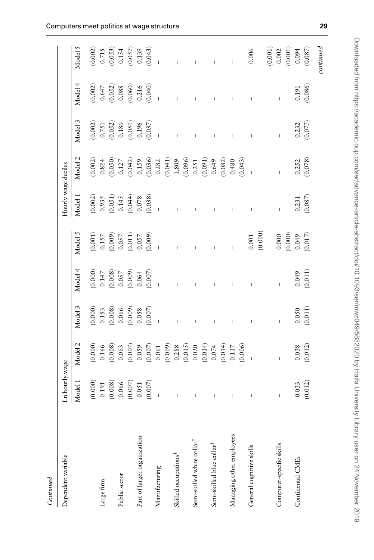| í |
|---|
| ۵ |
|   |
|   |
| ì |
|   |

| Dependent variable                     | Ln hourly wage                                                                 |                                                                                                                                                                                                                                                                                                  |                                                                                 |                                                                            |                                                                                                                                                                                                                                                                                                                                 | Hourly wage deciles                                                                                                                                                                                                                                                                                                                                                              |                                                                                                                                                        |                                                                                 |                                                                                                               |                                                                                   |
|----------------------------------------|--------------------------------------------------------------------------------|--------------------------------------------------------------------------------------------------------------------------------------------------------------------------------------------------------------------------------------------------------------------------------------------------|---------------------------------------------------------------------------------|----------------------------------------------------------------------------|---------------------------------------------------------------------------------------------------------------------------------------------------------------------------------------------------------------------------------------------------------------------------------------------------------------------------------|----------------------------------------------------------------------------------------------------------------------------------------------------------------------------------------------------------------------------------------------------------------------------------------------------------------------------------------------------------------------------------|--------------------------------------------------------------------------------------------------------------------------------------------------------|---------------------------------------------------------------------------------|---------------------------------------------------------------------------------------------------------------|-----------------------------------------------------------------------------------|
|                                        | Model 1                                                                        | Model 2                                                                                                                                                                                                                                                                                          | Model 3                                                                         | Model 4                                                                    | Model 5                                                                                                                                                                                                                                                                                                                         | Model 1                                                                                                                                                                                                                                                                                                                                                                          | Model <sub>2</sub>                                                                                                                                     | Model 3                                                                         | Model 4                                                                                                       | Model 5                                                                           |
|                                        | (0.000)                                                                        |                                                                                                                                                                                                                                                                                                  |                                                                                 |                                                                            |                                                                                                                                                                                                                                                                                                                                 |                                                                                                                                                                                                                                                                                                                                                                                  |                                                                                                                                                        |                                                                                 |                                                                                                               |                                                                                   |
| Large firm                             | 0.191                                                                          | $(0.000)$<br>$0.166$                                                                                                                                                                                                                                                                             |                                                                                 |                                                                            |                                                                                                                                                                                                                                                                                                                                 |                                                                                                                                                                                                                                                                                                                                                                                  | $(0.002)$<br>0.824                                                                                                                                     |                                                                                 |                                                                                                               |                                                                                   |
|                                        |                                                                                |                                                                                                                                                                                                                                                                                                  |                                                                                 |                                                                            |                                                                                                                                                                                                                                                                                                                                 |                                                                                                                                                                                                                                                                                                                                                                                  |                                                                                                                                                        |                                                                                 |                                                                                                               |                                                                                   |
| Public sector                          |                                                                                |                                                                                                                                                                                                                                                                                                  |                                                                                 |                                                                            |                                                                                                                                                                                                                                                                                                                                 |                                                                                                                                                                                                                                                                                                                                                                                  |                                                                                                                                                        |                                                                                 |                                                                                                               |                                                                                   |
|                                        |                                                                                |                                                                                                                                                                                                                                                                                                  |                                                                                 |                                                                            |                                                                                                                                                                                                                                                                                                                                 |                                                                                                                                                                                                                                                                                                                                                                                  |                                                                                                                                                        |                                                                                 |                                                                                                               |                                                                                   |
| Part of larger organization            |                                                                                |                                                                                                                                                                                                                                                                                                  |                                                                                 |                                                                            |                                                                                                                                                                                                                                                                                                                                 |                                                                                                                                                                                                                                                                                                                                                                                  |                                                                                                                                                        |                                                                                 |                                                                                                               |                                                                                   |
|                                        | $\begin{array}{c} (0.008) \\ 0.066 \\ (0.007) \\ 0.051 \\ (0.007) \end{array}$ |                                                                                                                                                                                                                                                                                                  | $(0.000)$<br>$0.153$<br>$(0.008)$<br>$0.066$<br>$(0.009)$<br>$0.058$<br>$0.058$ | $(0.000)$<br>$(0.000)$<br>$(0.008)$<br>$(0.005)$<br>$(0.009)$<br>$(0.004)$ | $\begin{array}{l} (60000) \\ (11000) \\ (60000) \\ (7000) \\ (11000) \\ (1000) \\ (1000) \\ (1000) \\ (1000) \\ (1000) \\ (1000) \\ (1000) \\ (1000) \\ (1000) \\ (1000) \\ (1000) \\ (1000) \\ (1000) \\ (1000) \\ (1000) \\ (1000) \\ (1000) \\ (1000) \\ (1000) \\ (1000) \\ (1000) \\ (1000) \\ (1000) \\ (1000) \\ (1000)$ | $\begin{array}{c} (0.002) \\ 0.935 \\ (0.051) \\ 0.145 \\ (0.044) \\ (0.078) \\ (0.038) \end{array}$                                                                                                                                                                                                                                                                             |                                                                                                                                                        | $(0.002)$<br>$0.751$<br>$(0.052)$<br>$0.186$<br>$(0.051)$<br>$0.196$<br>$0.196$ | $\begin{array}{c} (0.002) \\ 0.647 \\ (0.052) \\ 0.088 \\ (0.060) \\ (0.060) \\ 0.216 \\ (0.040) \end{array}$ | $(0.002)$<br>$0.715$<br>$(0.053)$<br>$0.154$<br>$(0.057)$<br>$0.139$<br>$(0.043)$ |
| Manufacturing                          |                                                                                |                                                                                                                                                                                                                                                                                                  |                                                                                 |                                                                            |                                                                                                                                                                                                                                                                                                                                 |                                                                                                                                                                                                                                                                                                                                                                                  |                                                                                                                                                        |                                                                                 |                                                                                                               |                                                                                   |
|                                        |                                                                                |                                                                                                                                                                                                                                                                                                  |                                                                                 |                                                                            |                                                                                                                                                                                                                                                                                                                                 |                                                                                                                                                                                                                                                                                                                                                                                  |                                                                                                                                                        |                                                                                 |                                                                                                               |                                                                                   |
| Skilled occupations <sup>#</sup>       |                                                                                |                                                                                                                                                                                                                                                                                                  |                                                                                 |                                                                            |                                                                                                                                                                                                                                                                                                                                 |                                                                                                                                                                                                                                                                                                                                                                                  |                                                                                                                                                        |                                                                                 |                                                                                                               |                                                                                   |
|                                        |                                                                                |                                                                                                                                                                                                                                                                                                  |                                                                                 |                                                                            |                                                                                                                                                                                                                                                                                                                                 |                                                                                                                                                                                                                                                                                                                                                                                  |                                                                                                                                                        |                                                                                 |                                                                                                               |                                                                                   |
| Semi-skilled white collar <sup>#</sup> | $\mathbf{I}$                                                                   | $\begin{array}{l} (0.008) \\ 0.065 \\ 0.007 \\ 0.007 \\ 0.0007 \\ 0.0001 \\ 0.001 \\ 0.0001 \\ 0.001 \\ 0.001 \\ 0.001 \\ 0.001 \\ 0.001 \\ 0.001 \\ 0.001 \\ 0.000 \\ 0.0000 \\ 0.0000 \\ 0.0000 \\ 0.0000 \\ 0.0000 \\ 0.0000 \\ 0.0000 \\ 0.0000 \\ 0.0000 \\ 0.0000 \\ 0.0000 \\ 0.0000 \\ $ | I                                                                               |                                                                            |                                                                                                                                                                                                                                                                                                                                 |                                                                                                                                                                                                                                                                                                                                                                                  | $\begin{array}{l} (0.050) \\ 0.127 \\ (0.042) \\ (0.159) \\ (0.036) \\ (0.036) \\ (0.041) \\ (0.041) \\ (0.096) \\ (0.096) \\ (0.0231) \\ \end{array}$ |                                                                                 |                                                                                                               |                                                                                   |
|                                        |                                                                                |                                                                                                                                                                                                                                                                                                  |                                                                                 |                                                                            |                                                                                                                                                                                                                                                                                                                                 |                                                                                                                                                                                                                                                                                                                                                                                  | $(0.091)$<br>0.649                                                                                                                                     |                                                                                 |                                                                                                               |                                                                                   |
| Semi-skilled blue collar <sup>#</sup>  |                                                                                |                                                                                                                                                                                                                                                                                                  | I                                                                               |                                                                            |                                                                                                                                                                                                                                                                                                                                 |                                                                                                                                                                                                                                                                                                                                                                                  |                                                                                                                                                        | I                                                                               |                                                                                                               |                                                                                   |
|                                        |                                                                                |                                                                                                                                                                                                                                                                                                  |                                                                                 |                                                                            |                                                                                                                                                                                                                                                                                                                                 |                                                                                                                                                                                                                                                                                                                                                                                  |                                                                                                                                                        |                                                                                 |                                                                                                               |                                                                                   |
| Managing other employees               | L                                                                              |                                                                                                                                                                                                                                                                                                  | I                                                                               |                                                                            | I                                                                                                                                                                                                                                                                                                                               |                                                                                                                                                                                                                                                                                                                                                                                  |                                                                                                                                                        | Ĺ                                                                               |                                                                                                               |                                                                                   |
|                                        |                                                                                |                                                                                                                                                                                                                                                                                                  |                                                                                 |                                                                            |                                                                                                                                                                                                                                                                                                                                 |                                                                                                                                                                                                                                                                                                                                                                                  | $(0.082)$<br>0.480<br>$(0.043)$                                                                                                                        |                                                                                 |                                                                                                               |                                                                                   |
| General cognitive skills               |                                                                                |                                                                                                                                                                                                                                                                                                  | $\overline{\phantom{a}}$                                                        |                                                                            | $0.001\,$                                                                                                                                                                                                                                                                                                                       | $\overline{1}$                                                                                                                                                                                                                                                                                                                                                                   |                                                                                                                                                        |                                                                                 |                                                                                                               | 0.006                                                                             |
|                                        |                                                                                |                                                                                                                                                                                                                                                                                                  |                                                                                 |                                                                            | (0.000)                                                                                                                                                                                                                                                                                                                         |                                                                                                                                                                                                                                                                                                                                                                                  |                                                                                                                                                        |                                                                                 |                                                                                                               |                                                                                   |
|                                        |                                                                                |                                                                                                                                                                                                                                                                                                  |                                                                                 |                                                                            |                                                                                                                                                                                                                                                                                                                                 |                                                                                                                                                                                                                                                                                                                                                                                  |                                                                                                                                                        |                                                                                 |                                                                                                               |                                                                                   |
| Computer-specific skills               | I                                                                              | $\mathbf{I}$                                                                                                                                                                                                                                                                                     |                                                                                 |                                                                            |                                                                                                                                                                                                                                                                                                                                 | $\begin{array}{c} \rule{0pt}{2.5ex} \rule{0pt}{2.5ex} \rule{0pt}{2.5ex} \rule{0pt}{2.5ex} \rule{0pt}{2.5ex} \rule{0pt}{2.5ex} \rule{0pt}{2.5ex} \rule{0pt}{2.5ex} \rule{0pt}{2.5ex} \rule{0pt}{2.5ex} \rule{0pt}{2.5ex} \rule{0pt}{2.5ex} \rule{0pt}{2.5ex} \rule{0pt}{2.5ex} \rule{0pt}{2.5ex} \rule{0pt}{2.5ex} \rule{0pt}{2.5ex} \rule{0pt}{2.5ex} \rule{0pt}{2.5ex} \rule{0$ |                                                                                                                                                        | $\mathbf{I}$                                                                    | $\mathbf{I}$                                                                                                  |                                                                                   |
|                                        |                                                                                |                                                                                                                                                                                                                                                                                                  |                                                                                 |                                                                            | (0.000)                                                                                                                                                                                                                                                                                                                         |                                                                                                                                                                                                                                                                                                                                                                                  |                                                                                                                                                        |                                                                                 |                                                                                                               | $\begin{array}{c} (0.001) \\ 0.002 \\ (0.001) \\ -0.094 \end{array}$              |
| Continental CMEs                       | $-0.033$                                                                       | $-0.038$                                                                                                                                                                                                                                                                                         | $-0.050$                                                                        | $-0.049$                                                                   | $-0.049$                                                                                                                                                                                                                                                                                                                        | 0.231                                                                                                                                                                                                                                                                                                                                                                            |                                                                                                                                                        | $0.232$<br>$(0.077)$                                                            | 0.191                                                                                                         |                                                                                   |
|                                        | (0.012)                                                                        | (0.012)                                                                                                                                                                                                                                                                                          | (0.011)                                                                         | (0.011)                                                                    | (0.017)                                                                                                                                                                                                                                                                                                                         | (0.087)                                                                                                                                                                                                                                                                                                                                                                          | $0.252$<br>$(0.078)$                                                                                                                                   |                                                                                 | (0.086)                                                                                                       | (0.087)                                                                           |
|                                        |                                                                                |                                                                                                                                                                                                                                                                                                  |                                                                                 |                                                                            |                                                                                                                                                                                                                                                                                                                                 |                                                                                                                                                                                                                                                                                                                                                                                  |                                                                                                                                                        |                                                                                 |                                                                                                               | ${\it continued}$                                                                 |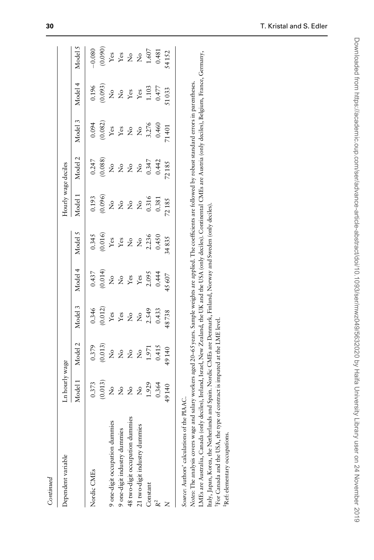| Continued                                                                                                                                                                                                                                                                                                                                                                                                                                                                                                   |                                |                                                                                                                                                   |                            |                                 |                                |                                 |                                     |                                 |                                 |                                     |
|-------------------------------------------------------------------------------------------------------------------------------------------------------------------------------------------------------------------------------------------------------------------------------------------------------------------------------------------------------------------------------------------------------------------------------------------------------------------------------------------------------------|--------------------------------|---------------------------------------------------------------------------------------------------------------------------------------------------|----------------------------|---------------------------------|--------------------------------|---------------------------------|-------------------------------------|---------------------------------|---------------------------------|-------------------------------------|
| Dependent variable                                                                                                                                                                                                                                                                                                                                                                                                                                                                                          | Ln hourly wage                 |                                                                                                                                                   |                            |                                 |                                | Hourly wage deciles             |                                     |                                 |                                 |                                     |
|                                                                                                                                                                                                                                                                                                                                                                                                                                                                                                             | Model 1                        | Model 2                                                                                                                                           | Model 3                    | Model 4                         | Model 5                        | Model 1                         | Model 2                             | Model 3                         | Model 4                         | Model 5                             |
| Nordic CMEs                                                                                                                                                                                                                                                                                                                                                                                                                                                                                                 | 0.373                          | 0.379                                                                                                                                             | 0.346                      | 0.437                           | 0.345                          | 0.193                           | 0.247                               | 0.094                           | 0.196                           | $-0.080$                            |
|                                                                                                                                                                                                                                                                                                                                                                                                                                                                                                             | (0.013)                        | (0.013)                                                                                                                                           | (0.012)                    | (0.014)                         | (0.016)                        | (0.096)                         | (0.088)                             | (0.082)                         | (0.093)                         | (0.090)                             |
| 9 one-digit occupation dummies                                                                                                                                                                                                                                                                                                                                                                                                                                                                              | $\stackrel{\circ}{\mathbf{Z}}$ | $\stackrel{\circ}{\mathcal{Z}}$                                                                                                                   | $\mathbf{Yes}$             | $\stackrel{\circ}{\mathcal{Z}}$ | $\mathbf{Yes}$                 | $\stackrel{\mathtt{o}}{z}$      | $\stackrel{\mathtt{o}}{\mathtt{x}}$ | $\mathbf{Y}\mathbf{es}$         | $\stackrel{\circ}{\mathbf{Z}}$  |                                     |
| 9 one-digit industry dummies                                                                                                                                                                                                                                                                                                                                                                                                                                                                                | $\mathsf{S}^{\mathsf{o}}$      | $\stackrel{\circ}{\mathcal{Z}}$                                                                                                                   | $\mathbf{Yes}$             | $\mathring{z}$                  | $\mathbf{Yes}$                 | $\stackrel{\circ}{\mathcal{Z}}$ | $\stackrel{\mathtt{o}}{\mathsf{z}}$ | ${\bf Y}$ es                    | $\stackrel{\circ}{\mathcal{Z}}$ | ${\rm Yes} \atop {\rm Yes}$         |
| 48 two-digit occupation dummies                                                                                                                                                                                                                                                                                                                                                                                                                                                                             | $\stackrel{\circ}{\mathbf{Z}}$ | $\stackrel{\circ}{\mathcal{Z}}$                                                                                                                   | $\rm \stackrel{o}{\simeq}$ | $\mathbf{Y}\mathbf{es}$         | $\stackrel{\circ}{\mathbf{Z}}$ | $\mathring{\varkappa}$          | $\stackrel{\circ}{\mathbf{Z}}$      | $\stackrel{\circ}{\mathcal{Z}}$ | $\mathbf{Yes}$                  | $\stackrel{\circ}{\mathbf{Z}}$      |
| 21 two-digit industry dummies                                                                                                                                                                                                                                                                                                                                                                                                                                                                               | $\frac{1}{2}$                  | $\frac{1}{2}$                                                                                                                                     | $\frac{1}{2}$              | ${\it Yes}$                     | $\frac{1}{2}$                  | ż                               | $\frac{1}{2}$                       | $\mathsf{\hat{z}}$              | $\mathbf{Yes}$                  | $\stackrel{\mathtt{o}}{\mathtt{x}}$ |
| Constant                                                                                                                                                                                                                                                                                                                                                                                                                                                                                                    | 1.929                          | 1.971                                                                                                                                             | 2.549                      | 2.095                           | 2.236                          | 0.316                           | 0.347                               | 3.276                           | 1.103                           | 1.607                               |
|                                                                                                                                                                                                                                                                                                                                                                                                                                                                                                             | 0.364                          | 0.415                                                                                                                                             | 0.433                      | 0.444                           | 0.450                          | 0.381                           | 0.442                               | 0.460                           | 0.477                           | 0.481                               |
|                                                                                                                                                                                                                                                                                                                                                                                                                                                                                                             | 49140                          | 49140                                                                                                                                             | 18738                      | 45607                           | 34835                          | 72185                           | 72185                               | 71401                           | 51033                           | 54152                               |
| Notes: The analysis covers wage and salary workers aged 20–65 years. Sample weights are applied. The coefficients are followed by robust standard errors in parentheses.<br>Italy, Japan, Korea, the Netherlands and Spain. Nordic CMEs are Denmark, Finland, Norway and Sweden (only deciles).<br>For Canada and the USA, the type of contract is imputed at the LME level.<br>Source: Authors' calculations of the PIAAC.<br>MEs are Australia, Canada (only<br><sup>‡</sup> Ref: elementary occupations. |                                | deciles), Ireland, Israel, New Zealand, the UK and the USA (only deciles). Continental CMEs are Austria (only deciles), Belgium, France, Germany, |                            |                                 |                                |                                 |                                     |                                 |                                 |                                     |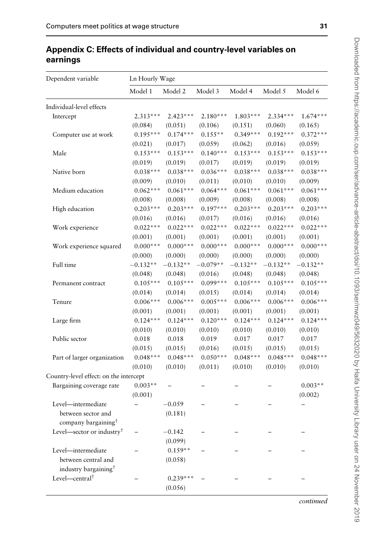| Dependent variable                     | Ln Hourly Wage           |            |            |            |            |            |
|----------------------------------------|--------------------------|------------|------------|------------|------------|------------|
|                                        | Model 1                  | Model 2    | Model 3    | Model 4    | Model 5    | Model 6    |
| Individual-level effects               |                          |            |            |            |            |            |
| Intercept                              | $2.313***$               | $2.423***$ | $2.180***$ | $1.803***$ | $2.334***$ | $1.674***$ |
|                                        | (0.084)                  | (0.051)    | (0.106)    | (0.151)    | (0.060)    | (0.165)    |
| Computer use at work                   | $0.195***$               | $0.174***$ | $0.155**$  | $0.349***$ | $0.192***$ | $0.372***$ |
|                                        | (0.021)                  | (0.017)    | (0.059)    | (0.062)    | (0.016)    | (0.059)    |
| Male                                   | $0.153***$               | $0.153***$ | $0.140***$ | $0.153***$ | $0.153***$ | $0.153***$ |
|                                        | (0.019)                  | (0.019)    | (0.017)    | (0.019)    | (0.019)    | (0.019)    |
| Native born                            | $0.038***$               | $0.038***$ | $0.036***$ | $0.038***$ | $0.038***$ | $0.038***$ |
|                                        | (0.009)                  | (0.010)    | (0.011)    | (0.010)    | (0.010)    | (0.009)    |
| Medium education                       | $0.062***$               | $0.061***$ | $0.064***$ | $0.061***$ | $0.061***$ | $0.061***$ |
|                                        | (0.008)                  | (0.008)    | (0.009)    | (0.008)    | (0.008)    | (0.008)    |
| High education                         | $0.203***$               | $0.203***$ | $0.197***$ | $0.203***$ | $0.203***$ | $0.203***$ |
|                                        | (0.016)                  | (0.016)    | (0.017)    | (0.016)    | (0.016)    | (0.016)    |
| Work experience                        | $0.022***$               | $0.022***$ | $0.022***$ | $0.022***$ | $0.022***$ | $0.022***$ |
|                                        | (0.001)                  | (0.001)    | (0.001)    | (0.001)    | (0.001)    | (0.001)    |
| Work experience squared                | $0.000***$               | $0.000***$ | $0.000***$ | $0.000***$ | $0.000***$ | $0.000***$ |
|                                        | (0.000)                  | (0.000)    | (0.000)    | (0.000)    | (0.000)    | (0.000)    |
| Full time                              | $-0.132**$               | $-0.132**$ | $-0.079**$ | $-0.132**$ | $-0.132**$ | $-0.132**$ |
|                                        | (0.048)                  | (0.048)    | (0.016)    | (0.048)    | (0.048)    | (0.048)    |
| Permanent contract                     | $0.105***$               | $0.105***$ | $0.099***$ | $0.105***$ | $0.105***$ | $0.105***$ |
|                                        | (0.014)                  | (0.014)    | (0.015)    | (0.014)    | (0.014)    | (0.014)    |
| Tenure                                 | $0.006***$               | $0.006***$ | $0.005***$ | $0.006***$ | $0.006***$ | $0.006***$ |
|                                        | (0.001)                  | (0.001)    | (0.001)    | (0.001)    | (0.001)    | (0.001)    |
| Large firm                             | $0.124***$               | $0.124***$ | $0.120***$ | $0.124***$ | $0.124***$ | $0.124***$ |
|                                        | (0.010)                  | (0.010)    | (0.010)    | (0.010)    | (0.010)    | (0.010)    |
| Public sector                          | 0.018                    | 0.018      | 0.019      | 0.017      | 0.017      | 0.017      |
|                                        | (0.015)                  | (0.015)    | (0.016)    | (0.015)    | (0.015)    | (0.015)    |
| Part of larger organization            | $0.048***$               | $0.048***$ | $0.050***$ | $0.048***$ | $0.048***$ | $0.048***$ |
|                                        | (0.010)                  | (0.010)    | (0.011)    | (0.010)    | (0.010)    | (0.010)    |
| Country-level effect: on the intercept |                          |            |            |            |            |            |
| Bargaining coverage rate               | $0.003**$                |            |            |            |            | $0.003**$  |
|                                        | (0.001)                  |            |            |            |            | (0.002)    |
| Level-intermediate                     | $\overline{\phantom{0}}$ | $-0.059$   |            |            |            |            |
| between sector and                     |                          | (0.181)    |            |            |            |            |
| company bargaining $^\dagger$          |                          |            |            |            |            |            |
| Level-sector or industry <sup>†</sup>  |                          | $-0.142$   |            |            |            |            |
|                                        |                          | (0.099)    |            |            |            |            |
| Level-intermediate                     |                          | $0.159**$  |            |            |            |            |
| between central and                    |                          | (0.058)    |            |            |            |            |
| industry bargaining <sup>+</sup>       |                          |            |            |            |            |            |
| Level-central <sup>†</sup>             |                          | $0.239***$ |            |            |            |            |

(0.056)

# Appendix C: Effects of individual and country-level variables on earnings

continued